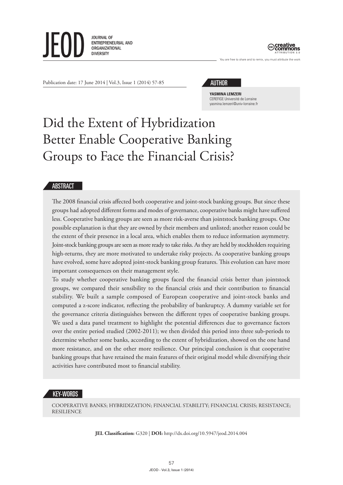



You are free to share and to remix, you must attribute the work

Publication date: 17 June 2014 | Vol.3, Issue 1 (2014) 57-85

#### AUTHOR

**YASMINA LEMZERI** CEREFIGE Université de Lorraine yasmina.lemzeri@univ-lorraine.fr

# Did the Extent of Hybridization Better Enable Cooperative Banking Groups to Face the Financial Crisis?

#### ABSTRACT

The 2008 financial crisis affected both cooperative and joint-stock banking groups. But since these groups had adopted different forms and modes of governance, cooperative banks might have suffered less. Cooperative banking groups are seen as more risk-averse than jointstock banking groups. One possible explanation is that they are owned by their members and unlisted; another reason could be the extent of their presence in a local area, which enables them to reduce information asymmetry. Joint-stock banking groups are seen as more ready to take risks. As they are held by stockholders requiring high-returns, they are more motivated to undertake risky projects. As cooperative banking groups have evolved, some have adopted joint-stock banking group features. This evolution can have more important consequences on their management style.

To study whether cooperative banking groups faced the financial crisis better than jointstock groups, we compared their sensibility to the financial crisis and their contribution to financial stability. We built a sample composed of European cooperative and joint-stock banks and computed a z-score indicator, reflecting the probability of bankruptcy. A dummy variable set for the governance criteria distinguishes between the different types of cooperative banking groups. We used a data panel treatment to highlight the potential differences due to governance factors over the entire period studied (2002-2011); we then divided this period into three sub-periods to determine whether some banks, according to the extent of hybridization, showed on the one hand more resistance, and on the other more resilience. Our principal conclusion is that cooperative banking groups that have retained the main features of their original model while diversifying their activities have contributed most to financial stability.

## KEY-WORDS

COOPERATIVE BANKS; HYBRIDIZATION; FINANCIAL STABILITY; FINANCIAL CRISIS; RESISTANCE; RESILIENCE

**JEL Classification:** G320 | **DOI:** http://dx.doi.org/10.5947/jeod.2014.004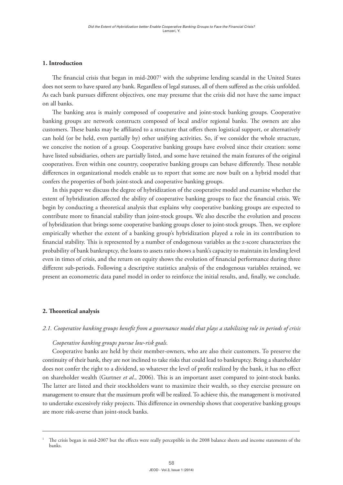#### **1. Introduction**

The financial crisis that began in mid-2007<sup>1</sup> with the subprime lending scandal in the United States does not seem to have spared any bank. Regardless of legal statuses, all of them suffered as the crisis unfolded. As each bank pursues different objectives, one may presume that the crisis did not have the same impact on all banks.

The banking area is mainly composed of cooperative and joint-stock banking groups. Cooperative banking groups are network constructs composed of local and/or regional banks. The owners are also customers. These banks may be affiliated to a structure that offers them logistical support, or alternatively can hold (or be held, even partially by) other unifying activities. So, if we consider the whole structure, we conceive the notion of a group. Cooperative banking groups have evolved since their creation: some have listed subsidiaries, others are partially listed, and some have retained the main features of the original cooperatives. Even within one country, cooperative banking groups can behave differently. These notable differences in organizational models enable us to report that some are now built on a hybrid model that confers the properties of both joint-stock and cooperative banking groups.

In this paper we discuss the degree of hybridization of the cooperative model and examine whether the extent of hybridization affected the ability of cooperative banking groups to face the financial crisis. We begin by conducting a theoretical analysis that explains why cooperative banking groups are expected to contribute more to financial stability than joint-stock groups. We also describe the evolution and process of hybridization that brings some cooperative banking groups closer to joint-stock groups. Then, we explore empirically whether the extent of a banking group's hybridization played a role in its contribution to financial stability. This is represented by a number of endogenous variables as the z-score characterizes the probability of bank bankruptcy, the loans to assets ratio shows a bank's capacity to maintain its lending level even in times of crisis, and the return on equity shows the evolution of financial performance during three different sub-periods. Following a descriptive statistics analysis of the endogenous variables retained, we present an econometric data panel model in order to reinforce the initial results, and, finally, we conclude.

#### **2. Theoretical analysis**

#### *2.1. Cooperative banking groups benefit from a governance model that plays a stabilizing role in periods of crisis*

#### *Cooperative banking groups pursue low-risk goals.*

Cooperative banks are held by their member-owners, who are also their customers. To preserve the continuity of their bank, they are not inclined to take risks that could lead to bankruptcy. Being a shareholder does not confer the right to a dividend, so whatever the level of profit realized by the bank, it has no effect on shareholder wealth (Gurtner *et al*., 2006). This is an important asset compared to joint-stock banks. The latter are listed and their stockholders want to maximize their wealth, so they exercise pressure on management to ensure that the maximum profit will be realized. To achieve this, the management is motivated to undertake excessively risky projects. This difference in ownership shows that cooperative banking groups are more risk-averse than joint-stock banks.

<sup>1</sup> The crisis began in mid-2007 but the effects were really perceptible in the 2008 balance sheets and income statements of the banks.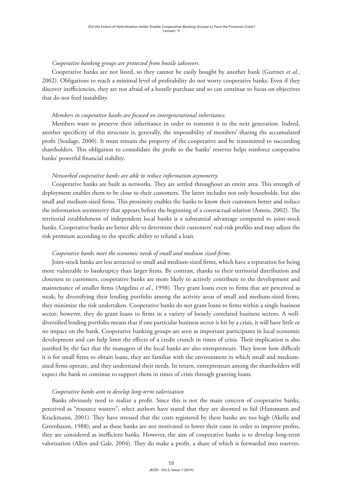#### *Cooperative banking groups are protected from hostile takeovers.*

Cooperative banks are not listed, so they cannot be easily bought by another bank (Gurtner *et al*., 2002). Obligations to reach a minimal level of profitability do not worry cooperative banks. Even if they discover inefficiencies, they are not afraid of a hostile purchase and so can continue to focus on objectives that do not feed instability.

#### *Members in cooperative banks are focused on intergenerational inheritance.*

Members want to preserve their inheritance in order to transmit it to the next generation. Indeed, another specificity of this structure is, generally, the impossibility of members' sharing the accumulated profit (Soulage, 2000). It must remain the property of the cooperative and be transmitted to succeeding shareholders. This obligation to consolidate the profit to the banks' reserves helps reinforce cooperative banks' powerful financial stability.

#### *Networked cooperative banks are able to reduce information asymmetry.*

Cooperative banks are built as networks. They are settled throughout an entire area. This strength of deployment enables them to be close to their customers. The latter includes not only households, but also small and medium-sized firms. This proximity enables the banks to know their customers better and reduce the information asymmetry that appears before the beginning of a contractual relation (Amess, 2002). The territorial establishment of independent local banks is a substantial advantage compared to joint-stock banks. Cooperative banks are better able to determine their customers' real-risk profiles and may adjust the risk premium according to the specific ability to refund a loan.

#### *Cooperative banks meet the economic needs of small and medium sized-firms.*

Joint-stock banks are less attracted to small and medium-sized firms, which have a reputation for being more vulnerable to bankruptcy than larger firms. By contrast, thanks to their territorial distribution and closeness to customers, cooperative banks are more likely to actively contribute to the development and maintenance of smaller firms (Angelini *et al*., 1998). They grant loans even to firms that are perceived as weak; by diversifying their lending portfolio among the activity areas of small and medium-sized firms, they minimize the risk undertaken. Cooperative banks do not grant loans to firms within a single business sector; however, they do grant loans to firms in a variety of loosely correlated business sectors. A welldiversified lending portfolio means that if one particular business sector is hit by a crisis, it will have little or no impact on the bank. Cooperative banking groups are seen as important participants in local economic development and can help limit the effects of a credit crunch in times of crisis. Their implication is also justified by the fact that the managers of the local banks are also entrepreneurs. They know how difficult it is for small firms to obtain loans, they are familiar with the environment in which small and mediumsized firms operate, and they understand their needs. In return, entrepreneurs among the shareholders will expect the bank to continue to support them in times of crisis through granting loans.

#### *Cooperative banks aim to develop long-term valorization*

Banks obviously need to realize a profit. Since this is not the main concern of cooperative banks, perceived as "resource wasters", select authors have stated that they are doomed to fail (Hansmann and Krackmann, 2001). They have stressed that the costs registered by these banks are too high (Akella and Greenbaum, 1988); and as these banks are not motivated to lower their costs in order to improve profits, they are considered as inefficient banks. However, the aim of cooperative banks is to develop long-term valorization (Allen and Gale, 2004). They do make a profit, a share of which is forwarded into reserves.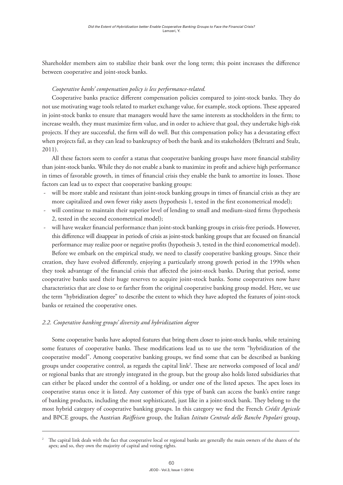Shareholder members aim to stabilize their bank over the long term; this point increases the difference between cooperative and joint-stock banks.

## *Cooperative banks' compensation policy is less performance-related.*

Cooperative banks practice different compensation policies compared to joint-stock banks. They do not use motivating wage tools related to market exchange value, for example, stock options. These appeared in joint-stock banks to ensure that managers would have the same interests as stockholders in the firm; to increase wealth, they must maximize firm value, and in order to achieve that goal, they undertake high-risk projects. If they are successful, the firm will do well. But this compensation policy has a devastating effect when projects fail, as they can lead to bankruptcy of both the bank and its stakeholders (Beltratti and Stulz, 2011).

All these factors seem to confer a status that cooperative banking groups have more financial stability than joint-stock banks. While they do not enable a bank to maximize its profit and achieve high performance in times of favorable growth, in times of financial crisis they enable the bank to amortize its losses. Those factors can lead us to expect that cooperative banking groups:

- will be more stable and resistant than joint-stock banking groups in times of financial crisis as they are more capitalized and own fewer risky assets (hypothesis 1, tested in the first econometrical model);
- will continue to maintain their superior level of lending to small and medium-sized firms (hypothesis 2, tested in the second econometrical model);
- will have weaker financial performance than joint-stock banking groups in crisis-free periods. However, this difference will disappear in periods of crisis as joint-stock banking groups that are focused on financial performance may realize poor or negative profits (hypothesis 3, tested in the third econometrical model).

Before we embark on the empirical study, we need to classify cooperative banking groups. Since their creation, they have evolved differently, enjoying a particularly strong growth period in the 1990s when they took advantage of the financial crisis that affected the joint-stock banks. During that period, some cooperative banks used their huge reserves to acquire joint-stock banks. Some cooperatives now have characteristics that are close to or farther from the original cooperative banking group model. Here, we use the term "hybridization degree" to describe the extent to which they have adopted the features of joint-stock banks or retained the cooperative ones.

# *2.2. Cooperative banking groups' diversity and hybridization degree*

Some cooperative banks have adopted features that bring them closer to joint-stock banks, while retaining some features of cooperative banks. These modifications lead us to use the term "hybridization of the cooperative model". Among cooperative banking groups, we find some that can be described as banking groups under cooperative control, as regards the capital link<sup>2</sup>. These are networks composed of local and/ or regional banks that are strongly integrated in the group, but the group also holds listed subsidiaries that can either be placed under the control of a holding, or under one of the listed apexes. The apex loses its cooperative status once it is listed. Any customer of this type of bank can access the bank's entire range of banking products, including the most sophisticated, just like in a joint-stock bank. They belong to the most hybrid category of cooperative banking groups. In this category we find the French *Crédit Agricole* and BPCE groups, the Austrian *Raiffeisen* group, the Italian *Istituto Centrale delle Banche Popolari* group,

<sup>2</sup> The capital link deals with the fact that cooperative local or regional banks are generally the main owners of the shares of the apex; and so, they own the majority of capital and voting rights.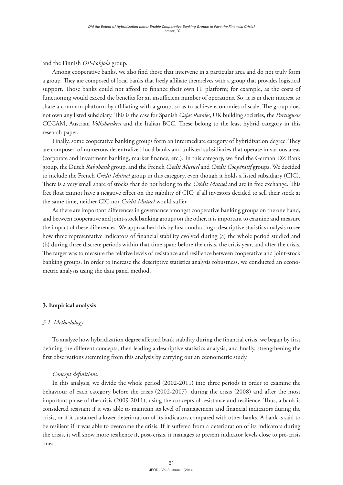and the Finnish *OP-Pohjola* group.

Among cooperative banks, we also find those that intervene in a particular area and do not truly form a group. They are composed of local banks that freely affiliate themselves with a group that provides logistical support. Those banks could not afford to finance their own IT platform; for example, as the costs of functioning would exceed the benefits for an insufficient number of operations. So, it is in their interest to share a common platform by affiliating with a group, so as to achieve economies of scale. The group does not own any listed subsidiary. This is the case for Spanish *Cajas Rurales*, UK building societies, the *Portuguese* CCCAM, Austrian *Volksbanken* and the Italian BCC. These belong to the least hybrid category in this research paper.

Finally, some cooperative banking groups form an intermediate category of hybridization degree. They are composed of numerous decentralized local banks and unlisted subsidiaries that operate in various areas (corporate and investment banking, market finance, etc.). In this category, we find the German DZ Bank group, the Dutch *Rabobank* group, and the French *Crédit Mutuel* and *Crédit Coopératif* groups. We decided to include the French *Crédit Mutuel* group in this category, even though it holds a listed subsidiary (CIC). There is a very small share of stocks that do not belong to the *Crédit Mutuel* and are in free exchange. This free float cannot have a negative effect on the stability of CIC; if all investors decided to sell their stock at the same time, neither CIC nor *Crédit Mutuel* would suffer.

As there are important differences in governance amongst cooperative banking groups on the one hand, and between cooperative and joint-stock banking groups on the other, it is important to examine and measure the impact of these differences. We approached this by first conducting a descriptive statistics analysis to see how three representative indicators of financial stability evolved during (a) the whole period studied and (b) during three discrete periods within that time span: before the crisis, the crisis year, and after the crisis. The target was to measure the relative levels of resistance and resilience between cooperative and joint-stock banking groups. In order to increase the descriptive statistics analysis robustness, we conducted an econometric analysis using the data panel method.

#### **3. Empirical analysis**

#### *3.1. Methodology*

To analyze how hybridization degree affected bank stability during the financial crisis, we began by first defining the different concepts, then leading a descriptive statistics analysis, and finally, strengthening the first observations stemming from this analysis by carrying out an econometric study.

#### *Concept definitions.*

In this analysis, we divide the whole period (2002-2011) into three periods in order to examine the behaviour of each category before the crisis (2002-2007), during the crisis (2008) and after the most important phase of the crisis (2009-2011), using the concepts of resistance and resilience. Thus, a bank is considered resistant if it was able to maintain its level of management and financial indicators during the crisis, or if it sustained a lower deterioration of its indicators compared with other banks. A bank is said to be resilient if it was able to overcome the crisis. If it suffered from a deterioration of its indicators during the crisis, it will show more resilience if, post-crisis, it manages to present indicator levels close to pre-crisis ones.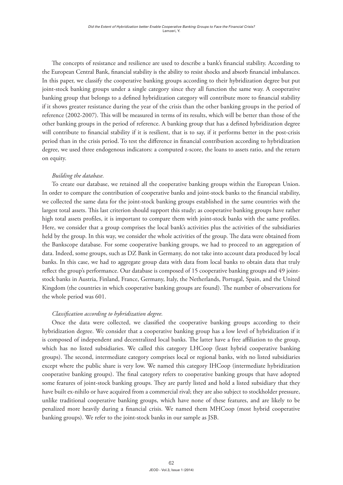The concepts of resistance and resilience are used to describe a bank's financial stability. According to the European Central Bank, financial stability is the ability to resist shocks and absorb financial imbalances. In this paper, we classify the cooperative banking groups according to their hybridization degree but put joint-stock banking groups under a single category since they all function the same way. A cooperative banking group that belongs to a defined hybridization category will contribute more to financial stability if it shows greater resistance during the year of the crisis than the other banking groups in the period of reference (2002-2007). This will be measured in terms of its results, which will be better than those of the other banking groups in the period of reference. A banking group that has a defined hybridization degree will contribute to financial stability if it is resilient, that is to say, if it performs better in the post-crisis period than in the crisis period. To test the difference in financial contribution according to hybridization degree, we used three endogenous indicators: a computed z-score, the loans to assets ratio, and the return on equity.

## *Building the database.*

To create our database, we retained all the cooperative banking groups within the European Union. In order to compare the contribution of cooperative banks and joint-stock banks to the financial stability, we collected the same data for the joint-stock banking groups established in the same countries with the largest total assets. This last criterion should support this study; as cooperative banking groups have rather high total assets profiles, it is important to compare them with joint-stock banks with the same profiles. Here, we consider that a group comprises the local bank's activities plus the activities of the subsidiaries held by the group. In this way, we consider the whole activities of the group. The data were obtained from the Bankscope database. For some cooperative banking groups, we had to proceed to an aggregation of data. Indeed, some groups, such as DZ Bank in Germany, do not take into account data produced by local banks. In this case, we had to aggregate group data with data from local banks to obtain data that truly reflect the group's performance. Our database is composed of 15 cooperative banking groups and 49 jointstock banks in Austria, Finland, France, Germany, Italy, the Netherlands, Portugal, Spain, and the United Kingdom (the countries in which cooperative banking groups are found). The number of observations for the whole period was 601.

## *Classification according to hybridization degree.*

Once the data were collected, we classified the cooperative banking groups according to their hybridization degree. We consider that a cooperative banking group has a low level of hybridization if it is composed of independent and decentralized local banks. The latter have a free affiliation to the group, which has no listed subsidiaries. We called this category LHCoop (least hybrid cooperative banking groups). The second, intermediate category comprises local or regional banks, with no listed subsidiaries except where the public share is very low. We named this category IHCoop (intermediate hybridization cooperative banking groups). The final category refers to cooperative banking groups that have adopted some features of joint-stock banking groups. They are partly listed and hold a listed subsidiary that they have built ex-nihilo or have acquired from a commercial rival; they are also subject to stockholder pressure, unlike traditional cooperative banking groups, which have none of these features, and are likely to be penalized more heavily during a financial crisis. We named them MHCoop (most hybrid cooperative banking groups). We refer to the joint-stock banks in our sample as JSB.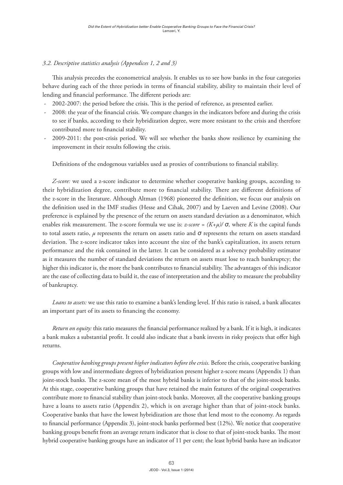## *3.2. Descriptive statistics analysis (Appendices 1, 2 and 3)*

This analysis precedes the econometrical analysis. It enables us to see how banks in the four categories behave during each of the three periods in terms of financial stability, ability to maintain their level of lending and financial performance. The different periods are:

- 2002-2007: the period before the crisis. This is the period of reference, as presented earlier.
- 2008: the year of the financial crisis. We compare changes in the indicators before and during the crisis to see if banks, according to their hybridization degree, were more resistant to the crisis and therefore contributed more to financial stability.
- 2009-2011: the post-crisis period. We will see whether the banks show resilience by examining the improvement in their results following the crisis.

Definitions of the endogenous variables used as proxies of contributions to financial stability.

*Z-score:* we used a z-score indicator to determine whether cooperative banking groups, according to their hybridization degree, contribute more to financial stability. There are different definitions of the z-score in the literature. Although Altman (1968) pioneered the definition, we focus our analysis on the definition used in the IMF studies (Hesse and Cihak, 2007) and by Laeven and Levine (2008). Our preference is explained by the presence of the return on assets standard deviation as a denominator, which enables risk measurement. The z-score formula we use is:  $z$ -score =  $(K+\mu)/\sigma$ , where *K* is the capital funds to total assets ratio, *µ* represents the return on assets ratio and *σ* represents the return on assets standard deviation. The z-score indicator takes into account the size of the bank's capitalization, its assets return performance and the risk contained in the latter. It can be considered as a solvency probability estimator as it measures the number of standard deviations the return on assets must lose to reach bankruptcy; the higher this indicator is, the more the bank contributes to financial stability. The advantages of this indicator are the ease of collecting data to build it, the ease of interpretation and the ability to measure the probability of bankruptcy.

*Loans to assets:* we use this ratio to examine a bank's lending level. If this ratio is raised, a bank allocates an important part of its assets to financing the economy.

*Return on equity:* this ratio measures the financial performance realized by a bank. If it is high, it indicates a bank makes a substantial profit. It could also indicate that a bank invests in risky projects that offer high returns.

*Cooperative banking groups present higher indicators before the crisis.* Before the crisis, cooperative banking groups with low and intermediate degrees of hybridization present higher z-score means (Appendix 1) than joint-stock banks. The z-score mean of the most hybrid banks is inferior to that of the joint-stock banks. At this stage, cooperative banking groups that have retained the main features of the original cooperatives contribute more to financial stability than joint-stock banks. Moreover, all the cooperative banking groups have a loans to assets ratio (Appendix 2), which is on average higher than that of joint-stock banks. Cooperative banks that have the lowest hybridization are those that lend most to the economy. As regards to financial performance (Appendix 3), joint-stock banks performed best (12%). We notice that cooperative banking groups benefit from an average return indicator that is close to that of joint-stock banks. The most hybrid cooperative banking groups have an indicator of 11 per cent; the least hybrid banks have an indicator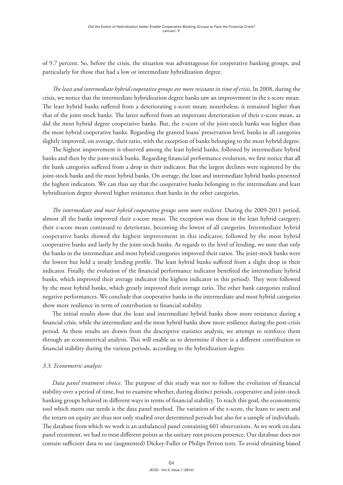of 9.7 percent. So, before the crisis, the situation was advantageous for cooperative banking groups, and particularly for those that had a low or intermediate hybridization degree.

*The least and intermediate hybrid cooperative groups are more resistant in time of crisis*. In 2008, during the crisis, we notice that the intermediate hybridization degree banks saw an improvement in the z-score mean. The least hybrid banks suffered from a deteriorating z-score mean; nonetheless, it remained higher than that of the joint-stock banks. The latter suffered from an important deterioration of their z-score mean, as did the most hybrid degree cooperative banks. But, the z-score of the joint-stock banks was higher than the most hybrid cooperative banks. Regarding the granted loans' preservation level, banks in all categories slightly improved, on average, their ratio, with the exception of banks belonging to the most hybrid degree.

The highest improvement is observed among the least hybrid banks, followed by intermediate hybrid banks and then by the joint-stock banks. Regarding financial performance evolution, we first notice that all the bank categories suffered from a drop in their indicator. But the largest declines were registered by the joint-stock banks and the most hybrid banks. On average, the least and intermediate hybrid banks presented the highest indicators. We can thus say that the cooperative banks belonging to the intermediate and least hybridization degree showed higher resistance than banks in the other categories.

*The intermediate and most hybrid cooperative groups seem more resilient.* During the 2009-2011 period, almost all the banks improved their z-score mean. The exception was those in the least hybrid category; their z-score mean continued to deteriorate, becoming the lowest of all categories. Intermediate hybrid cooperative banks showed the highest improvement in this indicator, followed by the most hybrid cooperative banks and lastly by the joint-stock banks. As regards to the level of lending, we note that only the banks in the intermediate and most hybrid categories improved their ratios. The joint-stock banks were the lowest but held a steady lending profile. The least hybrid banks suffered from a slight drop in their indicator. Finally, the evolution of the financial performance indicator benefited the intermediate hybrid banks, which improved their average indicator (the highest indicator in this period). They were followed by the most hybrid banks, which greatly improved their average ratio. The other bank categories realized negative performances. We conclude that cooperative banks in the intermediate and most hybrid categories show more resilience in term of contribution to financial stability.

The initial results show that the least and intermediate hybrid banks show more resistance during a financial crisis, while the intermediate and the most hybrid banks show more resilience during the post-crisis period. As these results are drawn from the descriptive statistics analysis, we attempt to reinforce them through an econometrical analysis. This will enable us to determine if there is a different contribution to financial stability during the various periods, according to the hybridization degree.

#### *3.3. Econometric analysis*

*Data panel treatment choice.* The purpose of this study was not to follow the evolution of financial stability over a period of time, but to examine whether, during distinct periods, cooperative and joint-stock banking groups behaved in different ways in terms of financial stability. To reach this goal, the econometric tool which meets our needs is the data panel method. The variation of the z-score, the loans to assets and the return on equity are thus not only studied over determined periods but also for a sample of individuals. The database from which we work is an unbalanced panel containing 601 observations. As we work on data panel treatment, we had to treat different points as the unitary root process presence. Our database does not contain sufficient data to use (augmented) Dickey-Fuller or Philips Perron tests. To avoid obtaining biased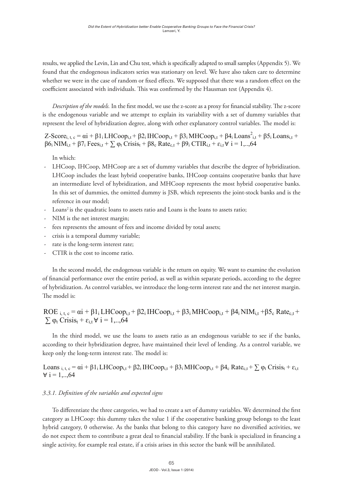results, we applied the Levin, Lin and Chu test, which is specifically adapted to small samples (Appendix 5). We found that the endogenous indicators series was stationary on level. We have also taken care to determine whether we were in the case of random or fixed effects. We supposed that there was a random effect on the coefficient associated with individuals. This was confirmed by the Hausman test (Appendix 4).  $\epsilon$ suns, we applied the levin, lin and Chu test, which is specifically adapted to small samples (Appendix )). We samples (Appendix 5). We found that the endogenous indicators series was stationary on results, we applied the Levin, Lin and Chu test, which is specifically adapted to small samples (Appendix 5). We

Description of the models. In the first model, we use the z-score as a proxy for financial stability. The z-score is the endogenous variable and we attempt to explain its variability with a set of dummy variables that represent the level of hybridization degree, along with other explanatory control variables. The model is: represent the fever of hybri-

Z-Score<sub>i, t, c</sub> =  $\alpha i$  +  $\beta 1$ <sub>i</sub> LHCoop<sub>i,t</sub> +  $\beta 2$ <sub>i</sub> IHCoop<sub>i,t</sub> +  $\beta 3$ <sub>i</sub> MHCoop<sub>i,t</sub> +  $\beta 4$ <sub>i</sub> Loans<sup>2</sup><sub>i,t</sub> +  $\beta 5$ <sub>i</sub> Loans<sub>i,t</sub> +  $\beta$ 6<sub>i</sub> NIM<sub>i,t</sub> +  $\beta$ 7<sub>i</sub> Fees<sub>i,t</sub> +  $\sum \varphi_t$  Crisis<sub>t</sub> +  $\beta$ 8<sub>c</sub> Rate<sub>c,t</sub> +  $\beta$ 9<sub>i</sub> CTIR<sub>i,t</sub> +  $\varepsilon_{i,t}$   $\forall$  i = 1,...,64  $\frac{1}{100}$  NIMi,  $\frac{1}{100}$  +  $\frac{1}{100}$  in  $\frac{1}{100}$  in  $\frac{1}{100}$  in  $\frac{1}{100}$  in  $\frac{1}{100}$  in  $\frac{1}{100}$  in  $\frac{1}{100}$  in  $\frac{1}{100}$  in  $\frac{1}{100}$  in  $\frac{1}{100}$  in  $\frac{1}{100}$  in  $\frac{1}{100}$  in  $\frac{1}{100$  $\overline{54}$ 

In which: In which: - LHCoop, IHCoop, IHCOOP, IHCOOP, IHCOOP, IHCOOP, IHCOOP, IHCOOP, IHCOOP, IHCOOP, IHCOOP, IHCOOP, IHCOOP, IHCOOP, IHCOOP, IHCOOP, IHCOOP, IHCOOP, IHCOOP, IHCOOP, IHCOOP, IHCOOP, IHCOOP, IHCOOP, IHCOOP, IHCOOP, IHCOOP, IHCO β6i NIMi,t + β7i Feesi,t + β8i Crisist + β9i Crisist + β9i Crisist + β9i Crisist + β9i Crisist + β9i Crisist +<br>Crisist + β9i Crisist + β9i Crisist + β9i Crisist + β9i Crisist + β9i Crisist + β9i Crisist + β9i Crisist +

- LHCoop, IHCoop, MHCoop are a set of dummy variables that describe the degree of hybridization. LHCoop includes the least hybrid cooperative banks, IHCoop contains cooperative banks that have an intermediate level of hybridization, and MHCoop represents the most hybrid cooperative banks. In this set of dummies, the omitted dummy is JSB, which represents the joint-stock banks and is the m and set of dummies, the omitted dummi<sub>f</sub> to *job*, which represents the joint-stock banks and is the reference in our model;
- $c^2$  is the - Loans<sup>2</sup> is the quadratic loans to assets ratio and Loans is the loans to assets ratio;<br>NIM is the net interest margin:
- NIM is the net interest margin;
- TNIM is the net interest margin;<br>- fees represents the amount of fees and income divided by total assets;
- crisis is a temporal dummy variable;
- rate is the long-term interest rate;
- CTIR is the cost to income ratio.  $\sigma$  rate is the local to meant ratio;

In the second model, the endogenous variable is the return on equity. We want to examine the evolution of financial performance over the entire period, as well as within separate periods, according to the degree of hybridization. As control variables, we introduce the long-term interest rate and the net interest margin. The model is: according to the degree of the degree of hybridization. As control variables, we introduce the long-term of the long-term of the long-term of the long-term of the long-term of the long-term of the long-term of the long-ter

 $ROE_{i,t,c} = \alpha i + \beta 1_i LHCoop_{i,t} + \beta 2_i IHCoop_{i,t} + \beta 3_i MHCoop_{i,t} + \beta 4_i NIM_{i,t} + \beta 5_c Rate_{c,t} +$  $\sum \varphi_t$  Crisis<sub>t</sub> +  $\varepsilon_{i,t}$   $\forall$  i = 1,..., 64

In the third model, we use the loans to assets ratio as an endogenous variable to see if the banks, according to their hybridization degree, have maintained their level of lending. As a control variable, we  $\overline{R}$  and  $\overline{R}$  by  $\overline{R}$  and  $\overline{R}$  and  $\overline{R}$  are contributions to  $\overline{R}$ keep only the long-term interest rate. The model is:  $\mathcal{L} = \mathcal{L} \times \mathcal{L} \times \mathcal{L}$  is the  $\mathcal{L} \times \mathcal{L} \times \mathcal{L}$ 

 $Loans_{i, t, c} =$ Loans i, t, c  $\mu$  i, c  $\mu$  LHC  $\mu$  and  $\mu$  IHCoopi, the  $\mu$ 3i MHCoopi, the  $\mu$  Ratec, t  $\sum_{\mu}$   $\mu$  Crisist +  $\tau$ , Loans <sub>1, t, c</sub> –<br> $\forall$  i = 1,..,64 Loans  $_{i, t, c} = \alpha i + \beta 1_i L H Coop_{i,t} + \beta 2_i H Coop_{i,t} + \beta 3_i M H Coop_{i,t} + \beta 4_c Rate_{c,t} + \sum_{i,t} \varphi_t \text{Crisis}_t + \varepsilon_{i,t}$ 

# *3.3.1 Definition of the variables and expected signs 3.3.1 Definition of the variables and expected signs 3.3.1. Definition of the variables and expected signs*

9 category as LHCoop: this dummy takes the value 1 if the cooperative banking group belongs to the least hybrid category, 0 otherwise. As the banks that belong to this category have no diversified activities, we To differentiate the three categories, we had to create a set of dummy variables. We determined the first do not expect them to contribute a great deal to financial stability. If the bank is specialized in financing a single activity, for example real estate, if a crisis arises in this sector the bank will be annihilated.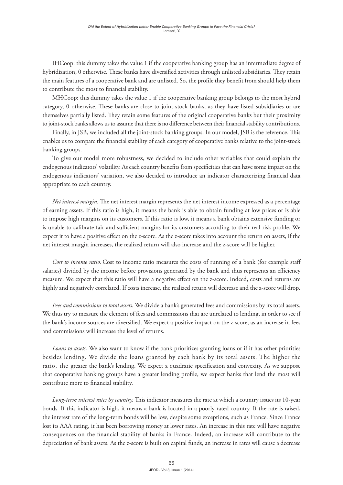IHCoop: this dummy takes the value 1 if the cooperative banking group has an intermediate degree of hybridization, 0 otherwise. These banks have diversified activities through unlisted subsidiaries. They retain the main features of a cooperative bank and are unlisted. So, the profile they benefit from should help them to contribute the most to financial stability.

MHCoop: this dummy takes the value 1 if the cooperative banking group belongs to the most hybrid category, 0 otherwise. These banks are close to joint-stock banks, as they have listed subsidiaries or are themselves partially listed. They retain some features of the original cooperative banks but their proximity to joint-stock banks allows us to assume that there is no difference between their financial stability contributions.

Finally, in JSB, we included all the joint-stock banking groups. In our model, JSB is the reference. This enables us to compare the financial stability of each category of cooperative banks relative to the joint-stock banking groups.

To give our model more robustness, we decided to include other variables that could explain the endogenous indicators' volatility. As each country benefits from specificities that can have some impact on the endogenous indicators' variation, we also decided to introduce an indicator characterizing financial data appropriate to each country.

*Net interest margin.* The net interest margin represents the net interest income expressed as a percentage of earning assets. If this ratio is high, it means the bank is able to obtain funding at low prices or is able to impose high margins on its customers. If this ratio is low, it means a bank obtains extensive funding or is unable to calibrate fair and sufficient margins for its customers according to their real risk profile. We expect it to have a positive effect on the z-score. As the z-score takes into account the return on assets, if the net interest margin increases, the realized return will also increase and the z-score will be higher.

*Cost to income ratio.* Cost to income ratio measures the costs of running of a bank (for example staff salaries) divided by the income before provisions generated by the bank and thus represents an efficiency measure. We expect that this ratio will have a negative effect on the z-score. Indeed, costs and returns are highly and negatively correlated. If costs increase, the realized return will decrease and the z-score will drop.

*Fees and commissions to total assets.* We divide a bank's generated fees and commissions by its total assets. We thus try to measure the element of fees and commissions that are unrelated to lending, in order to see if the bank's income sources are diversified. We expect a positive impact on the z-score, as an increase in fees and commissions will increase the level of returns.

*Loans to assets.* We also want to know if the bank prioritizes granting loans or if it has other priorities besides lending. We divide the loans granted by each bank by its total assets. The higher the ratio, the greater the bank's lending. We expect a quadratic specification and convexity. As we suppose that cooperative banking groups have a greater lending profile, we expect banks that lend the most will contribute more to financial stability.

*Long-term interest rates by country.* This indicator measures the rate at which a country issues its 10-year bonds. If this indicator is high, it means a bank is located in a poorly rated country. If the rate is raised, the interest rate of the long-term bonds will be low, despite some exceptions, such as France. Since France lost its AAA rating, it has been borrowing money at lower rates. An increase in this rate will have negative consequences on the financial stability of banks in France. Indeed, an increase will contribute to the depreciation of bank assets. As the z-score is built on capital funds, an increase in rates will cause a decrease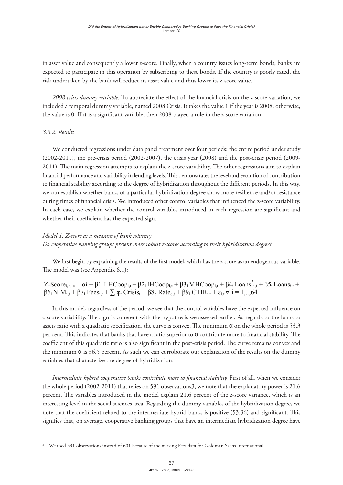in asset value and consequently a lower z-score. Finally, when a country issues long-term bonds, banks are expected to participate in this operation by subscribing to these bonds. If the country is poorly rated, the risk undertaken by the bank will reduce its asset value and thus lower its z-score value. by the bank will reduce it is asset value and thus lower its asset value and thus lower its z-score. It is also

2008 crisis dummy variable. To appreciate the effect of the financial crisis on the z-score variation, we included a temporal dummy variable, named 2008 Crisis. It takes the value 1 if the year is 2008; otherwise, the value is 0. If it is a significant variable, then 2008 played a role in the z-score variation.

# *3.3.2. Results 3.3.2 Results*

We conducted regressions under data panel treatment over four periods: the entire period under study  $(2002-2011)$ , the pre-crisis period  $(2002-2007)$ , the crisis year  $(2008)$  and the post-crisis period  $(2009-$ 2011). The main regression attempts to explain the z-score variability. The other regressions aim to explain financial performance and variability in lending levels. This demonstrates the level and evolution of contribution to financial stability according to the degree of hybridization throughout the different periods. In this way, we can establish whether banks of a particular hybridization degree show more resilience and/or resistance during times of financial crisis. We introduced other control variables that influenced the z-score variability. In each case, we explain whether the control variables introduced in each regression are significant and m case, we expand whether the control period under study (2002–2011), the pre-crisis period (2002–2007), the pre-crisis  $\mathcal{L}$ we conducted regressions under data panel treatment over four periods: the entire period under study

#### *Model 1: Z-score as a measure of bank solvency* **Model 1: Z-score as a measure of bank solvency Dodel 1: Z-score as a measure of bank solvency**

*Do cooperative banking groups present more robust z-scores according to their hybridization degree?* **hybridization degree?**

We first begin by explaining the results of the first model, which has the z-score as an endogenous variable. The model was (see Appendix 6.1):

Z-Score<sub>i, t, c</sub> =  $\alpha i$  +  $\beta 1$ <sub>i</sub> LHCoop<sub>i,t</sub> +  $\beta 2$ <sub>i</sub> IHCoop<sub>i,t</sub> +  $\beta 3$ <sub>i</sub> MHCoop<sub>i,t</sub> +  $\beta 4$ <sub>i</sub> Loans<sup>2</sup><sub>i,t</sub> +  $\beta 5$ <sub>i</sub> Loans<sub>i,t</sub> +  $β6<sub>i</sub> NIM<sub>i,t</sub> + β7<sub>i</sub> Fees<sub>i,t</sub> +  $\sum \varphi_t$  Crisis<sub>t</sub> + β8<sub>c</sub> Rate<sub>c,t</sub> + β9<sub>i</sub> C TIR<sub>i,t</sub> + ε<sub>i,t</sub> ∀ i = 1,..,64$ 

In this model, regardless of the period, we see that the control variables have the expected influence on z-score variability. The sign is coherent with the hypothesis we assessed earlier. As regards to the loans to assets ratio with a quadratic specification, the curve is convex. The minimum  $\alpha$  on the whole period is 53.3 per cent. This indicates that banks that have a ratio superior to  $\alpha$  contribute more to financial stability. The per cent. This mateates that same that have a ratio superior to a contribute more to mathetar stability. The coefficient of this quadratic ratio is also significant in the post-crisis period. The curve remains convex and the minimum  $\alpha$  is 36.5 percent. As such we can corroborate our explanation of the results on the dummy variables that characterize the degree of hybridization.

*Intermediate hybrid cooperative banks contribute more to financial stability.* First of all, when we consider the whole period (2002-2011) that relies on 591 observations3, we note that the explanatory power is 21.6 percent. The variables introduced in the model explain 21.6 percent of the z-score variance, which is an interesting level in the social sciences area. Regarding the dummy variables of the hybridization degree, we note that the coefficient related to the intermediate hybrid banks is positive (53.36) and significant. This signifies that, on average, cooperative banking groups that have an intermediate hybridization degree have

<sup>&</sup>lt;sup>3</sup> We used 591 observations instead of 601 because of the missing Fees data for Goldman Sachs International.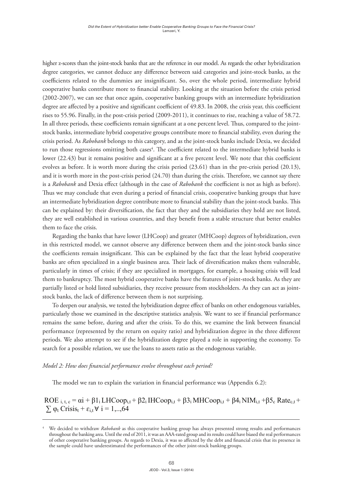higher z-scores than the joint-stock banks that are the reference in our model. As regards the other hybridization degree categories, we cannot deduce any difference between said categories and joint-stock banks, as the coefficients related to the dummies are insignificant. So, over the whole period, intermediate hybrid cooperative banks contribute more to financial stability. Looking at the situation before the crisis period (2002-2007), we can see that once again, cooperative banking groups with an intermediate hybridization degree are affected by a positive and significant coefficient of 49.83. In 2008, the crisis year, this coefficient rises to 55.96. Finally, in the post-crisis period (2009-2011), it continues to rise, reaching a value of 58.72. In all three periods, these coefficients remain significant at a one percent level. Thus, compared to the jointstock banks, intermediate hybrid cooperative groups contribute more to financial stability, even during the crisis period. As *Rabobank* belongs to this category, and as the joint-stock banks include Dexia, we decided to run those regressions omitting both cases<sup>4</sup>. The coefficient related to the intermediate hybrid banks is lower (22.43) but it remains positive and significant at a five percent level. We note that this coefficient evolves as before. It is worth more during the crisis period (23.61) than in the pre-crisis period (20.13), and it is worth more in the post-crisis period (24.70) than during the crisis. Therefore, we cannot say there is a *Rabobank* and Dexia effect (although in the case of *Rabobank* the coefficient is not as high as before). Thus we may conclude that even during a period of financial crisis, cooperative banking groups that have an intermediate hybridization degree contribute more to financial stability than the joint-stock banks. This can be explained by: their diversification, the fact that they and the subsidiaries they hold are not listed, they are well established in various countries, and they benefit from a stable structure that better enables them to face the crisis.

Regarding the banks that have lower (LHCoop) and greater (MHCoop) degrees of hybridization, even in this restricted model, we cannot observe any difference between them and the joint-stock banks since the coefficients remain insignificant. This can be explained by the fact that the least hybrid cooperative banks are often specialized in a single business area. Their lack of diversification makes them vulnerable, particularly in times of crisis; if they are specialized in mortgages, for example, a housing crisis will lead them to bankruptcy. The most hybrid cooperative banks have the features of joint-stock banks. As they are partially listed or hold listed subsidiaries, they receive pressure from stockholders. As they can act as jointstock banks, the lack of difference between them is not surprising.  $\frac{1}{2}$  deepen our analysis, we test the hybridization degree effect of banks on  $\frac{1}{2}$  degree effect of banks on  $\frac{1}{2}$  degree effect of banks on  $\frac{1}{2}$  degree effect on  $\frac{1}{2}$  degree effect on  $\frac{1}{2}$  de

To deepen our analysis, we tested the hybridization degree effect of banks on other endogenous variables, particularly those we examined in the descriptive statistics analysis. We want to see if financial performance remains the same before, during and after the crisis. To do this, we examine the link between financial performance (represented by the return on equity ratio) and hybridization degree in the three different periods. We also attempt to see if the hybridization degree played a role in supporting the economy. To search for a possible relation, we use the loans to assets ratio as the endogenous variable. possible relation, we use the loans to assets ratio as the endogenous variable. To deepen our analysis, we tested the hybridization degree effect of banks on other endogenous variables,

# *Model 2: How does financial performance evolve throughout each period?* **Model 2: How does financial performance evolve throughout each period?**

The model we ran to explain the variation in financial performance was (Appendix 6.2): The model we ran to explain the variation in financial performance was (Appendix 6.2):

ROE  $i, t, c = \alpha i + \beta 1_i LHCoop_{i,t} + \beta 2_i IHCoop_{i,t} + \beta 3_i MHCoop_{i,t} + \beta 4_i NIM_{i,t} + \beta 5_c Rate_{c,t} +$  $\sum \varphi_t$  Crisis<sub>t</sub> +  $\varepsilon_{i,t}$   $\forall$  i = 1,..,64

In this model, the control variables show different effects on financial performance. The

<sup>&</sup>lt;sup>4</sup> We decided to withdraw *Rabobank* as this cooperative banking group has always presented strong results and performances throughout the banking area. Until the end of 2011, it was an AAA-rated group and its results could have biased the real performances of other cooperative banking groups. As regards to Dexia, it was so affected by the debt and financial crisis that its presence in<br>the sample could have undersetimated the performances of the other joint stock banking grou has analyze come and significant effect on financial performance of the effect  $y$  and the effect on analyze  $y$  only. the sample could have underestimated the performances of the other joint-stock banking groups.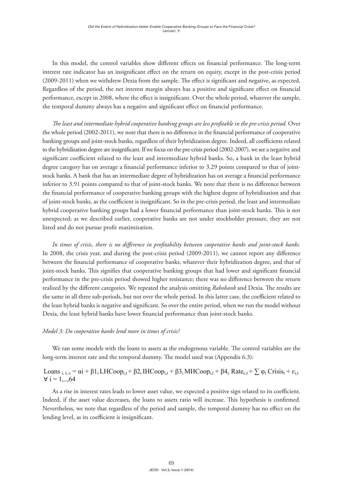In this model, the control variables show different effects on financial performance. The long-term interest rate indicator has an insignificant effect on the return on equity, except in the post-crisis period (2009-2011) when we withdrew Dexia from the sample. The effect is significant and negative, as expected. Regardless of the period, the net interest margin always has a positive and significant effect on financial performance, except in 2008, where the effect is insignificant. Over the whole period, whatever the sample, the temporal dummy always has a negative and significant effect on financial performance.

*The least and intermediate hybrid cooperative banking groups are less profitable in the pre-crisis period.* Over the whole period (2002-2011), we note that there is no difference in the financial performance of cooperative banking groups and joint-stock banks, regardless of their hybridization degree. Indeed, all coefficients related to the hybridization degree are insignificant. If we focus on the pre-crisis period (2002-2007), we see a negative and significant coefficient related to the least and intermediate hybrid banks. So, a bank in the least hybrid degree category has on average a financial performance inferior to 3.29 points compared to that of jointstock banks. A bank that has an intermediate degree of hybridization has on average a financial performance inferior to 3.91 points compared to that of joint-stock banks. We note that there is no difference between the financial performance of cooperative banking groups with the highest degree of hybridization and that of joint-stock banks, as the coefficient is insignificant. So in the pre-crisis period, the least and intermediate hybrid cooperative banking groups had a lower financial performance than joint-stock banks. This is not unexpected; as we described earlier, cooperative banks are not under stockholder pressure, they are not listed and do not pursue profit maximization.

*In times of crisis, there is no difference in profitability between cooperative banks and joint-stock banks.* In 2008, the crisis year, and during the post-crisis period (2009-2011), we cannot report any difference between the financial performance of cooperative banks, whatever their hybridization degree, and that of joint-stock banks. This signifies that cooperative banking groups that had lower and significant financial performance in the pre-crisis period showed higher resistance; there was no difference between the return realized by the different categories. We repeated the analysis omitting *Rabobank* and Dexia. The results are the same in all three sub-periods, but not over the whole period. In this latter case, the coefficient related to the least hybrid banks is negative and significant. So over the entire period, when we run the model without Dexia, the least hybrid banks have lower financial performance than joint-stock banks. than joint-stock banks.

#### *Model 3: Do cooperative banks lend more in times of crisis?* **Model 3: Do cooperative banks lend more in times of crisis?**

We ran some models with the loans to assets as the endogenous variable. The control variables are the long-term interest rate and the temporal dummy. The model used was (Appendix 6.3):

## Loans  $_{i,t,c} = \alpha i + \beta 1_i LHCoop_{i,t} + \beta 2_i IHCoop_{i,t} + \beta 3_i MHCoop_{i,t} + \beta 4_c Rate_{c,t} + \sum_{i,t} \varphi_t Crists_t + \varepsilon_{i,t}$  $\forall$  i = 1,..,64

As a rise in interest rates leads to lower asset value, we expected a positive sign related As a rise in interest rates leads to lower asset value, we expected a positive sign related to its coefficient. Indeed, if the asset value decreases, the loans to assets ratio will increase. This hypothesis is confirmed. Nevertheless, we note that regardless of the period and sample, the temporal dummy has no effect on the lending level, as its coefficient is insignificant.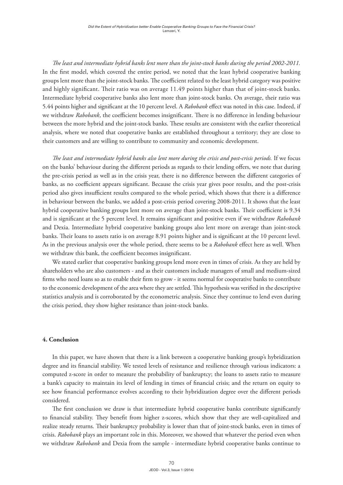*The least and intermediate hybrid banks lent more than the joint-stock banks during the period 2002-2011.*  In the first model, which covered the entire period, we noted that the least hybrid cooperative banking groups lent more than the joint-stock banks. The coefficient related to the least hybrid category was positive and highly significant. Their ratio was on average 11.49 points higher than that of joint-stock banks. Intermediate hybrid cooperative banks also lent more than joint-stock banks. On average, their ratio was 5.44 points higher and significant at the 10 percent level. A *Rabobank* effect was noted in this case. Indeed, if we withdraw *Rabobank*, the coefficient becomes insignificant. There is no difference in lending behaviour between the more hybrid and the joint-stock banks. These results are consistent with the earlier theoretical analysis, where we noted that cooperative banks are established throughout a territory; they are close to their customers and are willing to contribute to community and economic development.

*The least and intermediate hybrid banks also lent more during the crisis and post-crisis periods.* If we focus on the banks' behaviour during the different periods as regards to their lending offers, we note that during the pre-crisis period as well as in the crisis year, there is no difference between the different categories of banks, as no coefficient appears significant. Because the crisis year gives poor results, and the post-crisis period also gives insufficient results compared to the whole period, which shows that there is a difference in behaviour between the banks, we added a post-crisis period covering 2008-2011. It shows that the least hybrid cooperative banking groups lent more on average than joint-stock banks. Their coefficient is 9.34 and is significant at the 5 percent level. It remains significant and positive even if we withdraw *Rabobank*  and Dexia. Intermediate hybrid cooperative banking groups also lent more on average than joint-stock banks. Their loans to assets ratio is on average 8.91 points higher and is significant at the 10 percent level. As in the previous analysis over the whole period, there seems to be a *Rabobank* effect here as well. When we withdraw this bank, the coefficient becomes insignificant.

We stated earlier that cooperative banking groups lend more even in times of crisis. As they are held by shareholders who are also customers - and as their customers include managers of small and medium-sized firms who need loans so as to enable their firm to grow - it seems normal for cooperative banks to contribute to the economic development of the area where they are settled. This hypothesis was verified in the descriptive statistics analysis and is corroborated by the econometric analysis. Since they continue to lend even during the crisis period, they show higher resistance than joint-stock banks.

#### **4. Conclusion**

In this paper, we have shown that there is a link between a cooperative banking group's hybridization degree and its financial stability. We tested levels of resistance and resilience through various indicators: a computed z-score in order to measure the probability of bankruptcy; the loans to assets ratio to measure a bank's capacity to maintain its level of lending in times of financial crisis; and the return on equity to see how financial performance evolves according to their hybridization degree over the different periods considered.

The first conclusion we draw is that intermediate hybrid cooperative banks contribute significantly to financial stability. They benefit from higher z-scores, which show that they are well-capitalized and realize steady returns. Their bankruptcy probability is lower than that of joint-stock banks, even in times of crisis. *Rabobank* plays an important role in this. Moreover, we showed that whatever the period even when we withdraw *Rabobank* and Dexia from the sample - intermediate hybrid cooperative banks continue to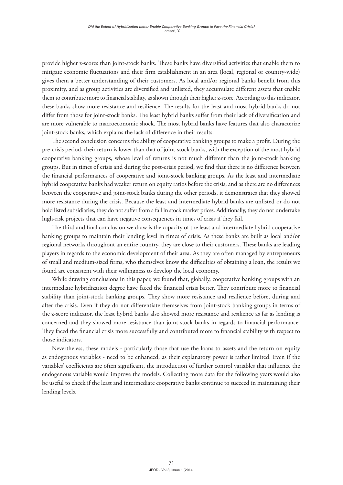provide higher z-scores than joint-stock banks. These banks have diversified activities that enable them to mitigate economic fluctuations and their firm establishment in an area (local, regional or country-wide) gives them a better understanding of their customers. As local and/or regional banks benefit from this proximity, and as group activities are diversified and unlisted, they accumulate different assets that enable them to contribute more to financial stability, as shown through their higher z-score. According to this indicator, these banks show more resistance and resilience. The results for the least and most hybrid banks do not differ from those for joint-stock banks. The least hybrid banks suffer from their lack of diversification and are more vulnerable to macroeconomic shock. The most hybrid banks have features that also characterize joint-stock banks, which explains the lack of difference in their results.

The second conclusion concerns the ability of cooperative banking groups to make a profit. During the pre-crisis period, their return is lower than that of joint-stock banks, with the exception of the most hybrid cooperative banking groups, whose level of returns is not much different than the joint-stock banking groups. But in times of crisis and during the post-crisis period, we find that there is no difference between the financial performances of cooperative and joint-stock banking groups. As the least and intermediate hybrid cooperative banks had weaker return on equity ratios before the crisis, and as there are no differences between the cooperative and joint-stock banks during the other periods, it demonstrates that they showed more resistance during the crisis. Because the least and intermediate hybrid banks are unlisted or do not hold listed subsidiaries, they do not suffer from a fall in stock market prices. Additionally, they do not undertake high-risk projects that can have negative consequences in times of crisis if they fail.

The third and final conclusion we draw is the capacity of the least and intermediate hybrid cooperative banking groups to maintain their lending level in times of crisis. As these banks are built as local and/or regional networks throughout an entire country, they are close to their customers. These banks are leading players in regards to the economic development of their area. As they are often managed by entrepreneurs of small and medium-sized firms, who themselves know the difficulties of obtaining a loan, the results we found are consistent with their willingness to develop the local economy.

While drawing conclusions in this paper, we found that, globally, cooperative banking groups with an intermediate hybridization degree have faced the financial crisis better. They contribute more to financial stability than joint-stock banking groups. They show more resistance and resilience before, during and after the crisis. Even if they do not differentiate themselves from joint-stock banking groups in terms of the z-score indicator, the least hybrid banks also showed more resistance and resilience as far as lending is concerned and they showed more resistance than joint-stock banks in regards to financial performance. They faced the financial crisis more successfully and contributed more to financial stability with respect to those indicators.

Nevertheless, these models - particularly those that use the loans to assets and the return on equity as endogenous variables - need to be enhanced, as their explanatory power is rather limited. Even if the variables' coefficients are often significant, the introduction of further control variables that influence the endogenous variable would improve the models. Collecting more data for the following years would also be useful to check if the least and intermediate cooperative banks continue to succeed in maintaining their lending levels.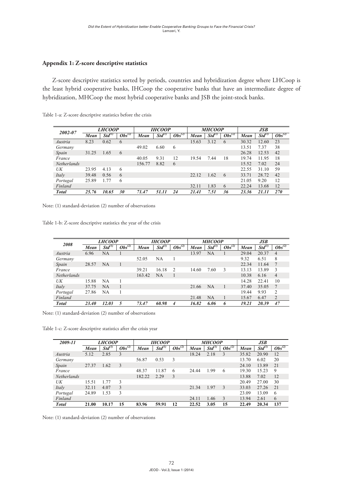#### **Appendix 1: Z-score descriptive statistics**

Z-score descriptive statistics sorted by periods, countries and hybridization degree where LHCoop is Z-score descriptive statistics sorted by periods, countries and hybridization degree where LHCoop is the least hybrid cooperative banks, IHCoop the cooperative banks that have an intermediate degree of hybridization, MHCoop the most hybrid cooperative banks and JSB the joint-stock banks.  $\mathcal{L}=\mathcal{L}=\mathcal{L}=\mathcal{L}=\mathcal{L}=\mathcal{L}=\mathcal{L}=\mathcal{L}=\mathcal{L}=\mathcal{L}=\mathcal{L}=\mathcal{L}=\mathcal{L}=\mathcal{L}=\mathcal{L}=\mathcal{L}=\mathcal{L}=\mathcal{L}=\mathcal{L}=\mathcal{L}=\mathcal{L}=\mathcal{L}=\mathcal{L}=\mathcal{L}=\mathcal{L}=\mathcal{L}=\mathcal{L}=\mathcal{L}=\mathcal{L}=\mathcal{L}=\mathcal{L}=\mathcal{L}=\mathcal{L}=\mathcal{L}=\mathcal{L}=\mathcal{L}=\mathcal{$ 

| JSB<br>Std'<br>12.60 | $Obs^{(2)}$ |
|----------------------|-------------|
|                      |             |
|                      |             |
|                      | 23          |
| 7.37                 | 38          |
| 12.53                | 42          |
| 11.95                | 18          |
| 7.02                 | 24          |
| 31.10                | 59          |
| 28.72                | 42          |
| 9.20                 | 12          |
| 13.68                | 12          |
| 21.11                | 270         |
|                      |             |

Table 1-a: Z-score descriptive statistics before the crisis the least hybrid cooperative banks, IHCooperative banks, IHCoop the cooperative banks that have an intermediate the least hybrid cooperative banks, IHCoop the cooperative banks that have an intermediate

Note: (1) standard-deviation (2) number of observations

Table 1-b: Z-score descriptive statistics the year of the crisis *Mean Std(1) Obs(2) Mean Std(1) Obs(2) Mean Std(1) Obs(2) Mean Std(1) Obs(2) Note:* (1) standard-deviation (2) number of observations

| 2008               |              | <b>LHCOOP</b>      |             |        | <b>IHCOOP</b>      |                |       | <b>MHCOOP</b> |             |       | <b>JSB</b>  |                |
|--------------------|--------------|--------------------|-------------|--------|--------------------|----------------|-------|---------------|-------------|-------|-------------|----------------|
|                    | Mean         | Std <sup>(1)</sup> | $Obs^{(2)}$ | Mean   | Std <sup>(1)</sup> | $Obs^{(2)}$    | Mean  | $Std^{(1)}$   | $Obs^{(2)}$ | Mean  | $Std^{(1)}$ | $Obs^{(2)}$    |
| Austria            | 6.96         | NA                 |             |        |                    |                | 13.97 | NA            |             | 29.04 | 20.37       | 4              |
| Germany            |              |                    |             | 52.05  | NA                 |                |       |               |             | 9.32  | 6.51        | 8              |
| Spain              | 28.57        | NA                 |             |        |                    |                |       |               |             | 22.34 | 11.64       |                |
| France             |              |                    |             | 39.21  | 16.18              | $\overline{2}$ | 14.60 | 7.60          | 3           | 13.13 | 13.89       | 3              |
| <b>Netherlands</b> |              |                    |             | 163.42 | <b>NA</b>          |                |       |               |             | 10.38 | 6.16        | $\overline{4}$ |
| UK                 | 15.88        | NΑ                 |             |        |                    |                |       |               |             | 14.28 | 22.41       | 10             |
| Italy              | 37.75        | NA                 |             |        |                    |                | 21.66 | <b>NA</b>     | 1           | 37.40 | 35.05       | $\tau$         |
| Portugal           | 27.86        | NA                 |             |        |                    |                |       |               |             | 19.44 | 9.93        | 2              |
| Finland            |              |                    |             |        |                    |                | 21.48 | <b>NA</b>     |             | 15.67 | 6.47        | 2              |
| <b>Total</b>       | <b>23.40</b> | 12.03              | 5           | 73.47  | 60.98              | 4              | 16.82 | 6.06          | 6           | 19.21 | 20.39       | 47             |
|                    |              |                    |             |        |                    |                |       |               |             |       |             |                |

Note: (1) standard-deviation (2) number of observations

*Austria* 5.12 2.85 3 18.24 2.18 3 35.82 20.90 12 Table 1-c: Z-score descriptive statistics after the crisis year

| 2009-11      |       | <b>LHCOOP</b>      |             |        | <b>IHCOOP</b>      |             |       | <b>MHCOOP</b> |             |       | JSB   |             |
|--------------|-------|--------------------|-------------|--------|--------------------|-------------|-------|---------------|-------------|-------|-------|-------------|
|              | Mean  | Std <sup>(1)</sup> | $Obs^{(2)}$ | Mean   | Std <sup>(1)</sup> | $Obs^{(2)}$ | Mean  | $Std^{(1)}$   | $Obs^{(2)}$ | Mean  | Std'' | $Obs^{(2)}$ |
| Austria      | 5.12  | 2.85               | 3           |        |                    |             | 18.24 | 2.18          | 3           | 35.82 | 20.90 | 12          |
| Germany      |       |                    |             | 56.87  | 0.53               | 3           |       |               |             | 13.70 | 6.02  | 20          |
| Spain        | 27.37 | 1.62               | 3           |        |                    |             |       |               |             | 24.10 | 13.89 | 21          |
| France       |       |                    |             | 48.37  | 11.87              | 6           | 24.44 | 1.99          | 6           | 19.30 | 15.23 | 9           |
| Netherlands  |       |                    |             | 182.22 | 2.29               | 3           |       |               |             | 13.88 | 7.02  | 12          |
| UK           | 15.51 | 1.77               | 3           |        |                    |             |       |               |             | 20.49 | 27.00 | 30          |
| Italy        | 32.11 | 4.07               | 3           |        |                    |             | 21.34 | 1.97          | 3           | 33.03 | 27.26 | 21          |
| Portugal     | 24.89 | 1.53               | 3           |        |                    |             |       |               |             | 23.09 | 13.09 | 6           |
| Finland      |       |                    |             |        |                    |             | 24.11 | 1.46          | 3           | 13.94 | 2.61  | 6           |
| <b>Total</b> | 21.00 | 10.17              | 15          | 83.96  | 59.91              | 12          | 22.52 | 3.05          | 15          | 22.49 | 20.34 | 137         |

*Mean Std(1) Obs(2) Mean Std(1) Obs(2) Mean Std(1) Obs(2) Mean Std(1) Obs(2)* Note: (1) standard-deviation (2) number of observations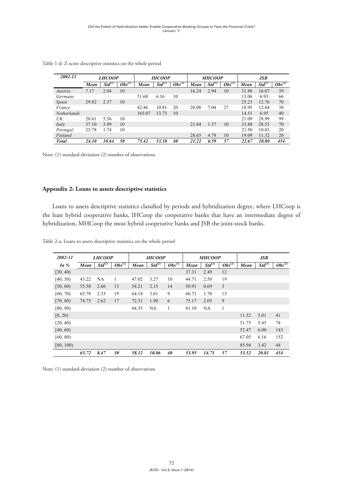| 2002-11            |       | <b>LHCOOP</b> |             |        | <b>IHCOOP</b>      |             |       | <b>MHCOOP</b>      |             |       | <b>JSB</b>         |             |
|--------------------|-------|---------------|-------------|--------|--------------------|-------------|-------|--------------------|-------------|-------|--------------------|-------------|
|                    | Mean  | Std'          | $Obs^{(2)}$ | Mean   | Std <sup>(1)</sup> | $Obs^{(2)}$ | Mean  | Std <sup>(1)</sup> | $Obs^{(2)}$ | Mean  | Std <sup>(1)</sup> | $Obs^{(2)}$ |
| Austria            | 7.17  | 2.04          | 10          |        |                    |             | 16.24 | 2.94               | 10          | 31.88 | 16.07              | 39          |
| Germany            |       |               |             | 51.68  | 6.16               | 10          |       |                    |             | 13.06 | 6.93               | 66          |
| Spain              | 29.82 | 2.37          | 10          |        |                    |             |       |                    |             | 25.23 | 12.76              | 70          |
| France             |       |               |             | 42.46  | 10.81              | 20          | 20.08 | 7.04               | 27          | 18.95 | 12.84              | 30          |
| <b>Netherlands</b> |       |               |             | 165.07 | 13.73              | 10          |       |                    |             | 14.51 | 6.95               | 40          |
| UK                 | 20.61 | 5.36          | 10          |        |                    |             |       |                    |             | 21.09 | 28.99              | 99          |
| Italy              | 37.10 | 3.99          | 10          |        |                    |             | 21.84 | 1.57               | 10          | 33.88 | 28.53              | 70          |
| Portugal           | 25.78 | 1.74          | 10          |        |                    |             |       |                    |             | 21.50 | 10.03              | 20          |
| Finland            |       |               |             |        |                    |             | 28.65 | 4.78               | 10          | 19.09 | 11.32              | 20          |
| <b>Total</b>       | 24.10 | 10.64         | 50          | 75.42  | 53.58              | 40          | 21.22 | 6.59               | 57          | 22.67 | 20.80              | 454         |
|                    |       |               |             |        |                    |             |       |                    |             |       |                    |             |

Table 1-d: Z-score descriptive statistics on the whole period **Table 1-d: Z-score descriptive statistics on the whole period**

Note: (1) standard-deviation (2) number of observations (1) standard-deviation (2) number of observations

#### Appendix 2: Loans to assets descriptive statistics

Loans to assets descriptive statistics classified by periods and hybridization degree, where LHCoop is the least hybrid cooperative banks, IHCoop the cooperative banks that have an intermediate degree of hybridization, MHCoop the most hybrid cooperative banks and JSB the joint-stock banks.

| 2002-11   |       | <b>LHCOOP</b> |              |       | <b>IHCOOP</b>      |             |       | <b>MHCOOP</b> |                |       | JSB         |                        |
|-----------|-------|---------------|--------------|-------|--------------------|-------------|-------|---------------|----------------|-------|-------------|------------------------|
| In $%$    | Mean  | $Std^{(1)}$   | $Obs^{(2)}$  | Mean  | Std <sup>(1)</sup> | $Obs^{(2)}$ | Mean  | $Std^{(1)}$   | $Obs^{(2)}$    | Mean  | $Std^{(1)}$ | $\overline{Obs^{(2)}}$ |
| [30, 40)  |       |               |              |       |                    |             | 37.31 | 2.49          | 12             |       |             |                        |
| [40, 50)  | 43.22 | <b>NA</b>     | $\mathbf{1}$ | 47.02 | 3.27               | 10          | 44.71 | 2.50          | 19             |       |             |                        |
| [50, 60)  | 55.58 | 2.66          | 13           | 54.21 | 2.15               | 14          | 50.91 | 0.69          | $\overline{3}$ |       |             |                        |
| [60, 70)  | 65.78 | 2.33          | 19           | 64.14 | 3.61               | 9           | 66.71 | 1.70          | 13             |       |             |                        |
| [70, 80)  | 74.75 | 2.62          | 17           | 72.31 | 1.90               | 6           | 75.17 | 2.05          | 9              |       |             |                        |
| [80, 90)  |       |               |              | 84.35 | <b>NA</b>          | 1           | 81.10 | NA            | 1              |       |             |                        |
| [0, 20)   |       |               |              |       |                    |             |       |               |                | 11.52 | 5.01        | 41                     |
| [20, 40)  |       |               |              |       |                    |             |       |               |                | 31.75 | 5.45        | 74                     |
| [40, 60]  |       |               |              |       |                    |             |       |               |                | 52.47 | 6.00        | 143                    |
| [60, 80)  |       |               |              |       |                    |             |       |               |                | 67.05 | 6.16        | 152                    |
| [80, 100] |       |               |              |       |                    |             |       |               |                | 85.94 | 3.42        | 44                     |
|           | 65.72 | 8.47          | 50           | 58.12 | 10.06              | 40          | 53.95 | 14.71         | 57             | 53.52 | 20.81       | 454                    |

 $\overline{a}$  . Leave to access decographics escription on the whole neglected [30, 40) 37.31 2.49 12 Table 2-a: Loans to assets descriptive statistics on the whole period **Table 2-a: Loans to assets descriptive statistics on the whole period**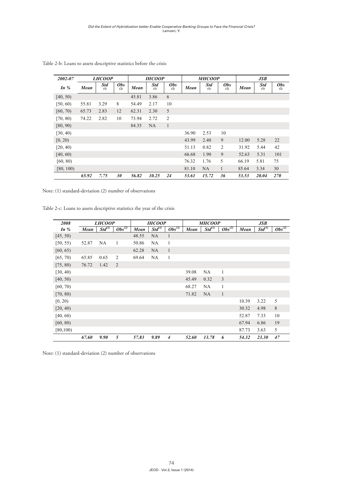| 2002-07   |       | <b>LHCOOP</b>     |                   |       | <b>IHCOOP</b>     |                   |       | <b>MHCOOP</b>     |                   |       | JSB               |                   |
|-----------|-------|-------------------|-------------------|-------|-------------------|-------------------|-------|-------------------|-------------------|-------|-------------------|-------------------|
| In $%$    | Mean  | <b>Std</b><br>(1) | <b>Obs</b><br>(2) | Mean  | <b>Std</b><br>(1) | <b>Obs</b><br>(2) | Mean  | <b>Std</b><br>(1) | <b>Obs</b><br>(2) | Mean  | <b>Std</b><br>(1) | <b>Obs</b><br>(2) |
| [40, 50)  |       |                   |                   | 45.81 | 3.86              | 6                 |       |                   |                   |       |                   |                   |
| [50, 60)  | 55.81 | 3.29              | 8                 | 54.49 | 2.17              | 10                |       |                   |                   |       |                   |                   |
| [60, 70)  | 65.73 | 2.83              | 12                | 62.31 | 2.30              | 5                 |       |                   |                   |       |                   |                   |
| [70, 80)  | 74.22 | 2.82              | 10                | 73.94 | 2.72              | $\overline{2}$    |       |                   |                   |       |                   |                   |
| [80, 90)  |       |                   |                   | 84.35 | NA                | $\mathbf{1}$      |       |                   |                   |       |                   |                   |
| [30, 40)  |       |                   |                   |       |                   |                   | 36.90 | 2.53              | 10                |       |                   |                   |
| [0, 20)   |       |                   |                   |       |                   |                   | 43.99 | 2.40              | 9                 | 12.00 | 5.28              | 22                |
| [20, 40)  |       |                   |                   |       |                   |                   | 51.13 | 0.82              | $\overline{2}$    | 31.92 | 5.44              | 42                |
| [40, 60)  |       |                   |                   |       |                   |                   | 66.68 | 1.90              | 9                 | 52.63 | 5.31              | 101               |
| [60, 80)  |       |                   |                   |       |                   |                   | 76.32 | 1.76              | 5                 | 66.19 | 5.81              | 75                |
| [80, 100) |       |                   |                   |       |                   |                   | 81.10 | <b>NA</b>         | $\mathbf{1}$      | 85.64 | 3.34              | 30                |
|           | 65.92 | 7.75              | 30                | 56.82 | 10.25             | 24                | 53.61 | 15.72             | 36                | 53.53 | 20.04             | <b>270</b>        |

Table 2-b: Loans to assets descriptive statistics before the crisis **Table 2-b: Loans to assets descriptive statistics before the crisis**

Note: (1) standard-deviation (2) number of observations

Table 2-c: Loans to assets descriptive statistics the year of the crisis and the contract of the contract of the contract of the contract of the contract of the contract of the contract of

| 2008      |       | <i>LHCOOP</i> |                        |       | <b>IHCOOP</b>      |                        |       | <b>MHCOOP</b> |              |       | JSB         |                        |
|-----------|-------|---------------|------------------------|-------|--------------------|------------------------|-------|---------------|--------------|-------|-------------|------------------------|
| In $%$    | Mean  | $Std^{(1)}$   | $\overline{Obs^{(2)}}$ | Mean  | Std <sup>(1)</sup> | $\overline{Obs^{(2)}}$ | Mean  | $Std^{(1)}$   | $Obs^{(2)}$  | Mean  | $Std^{(1)}$ | $\overline{Obs^{(2)}}$ |
| [45, 50)  |       |               |                        | 48.55 | <b>NA</b>          | $\mathbf{1}$           |       |               |              |       |             |                        |
| [50, 55)  | 52.87 | NA            | 1                      | 50.86 | NA                 | 1                      |       |               |              |       |             |                        |
| [60, 65)  |       |               |                        | 62.28 | <b>NA</b>          | 1                      |       |               |              |       |             |                        |
| [65, 70)  | 65.85 | 0.65          | $\overline{2}$         | 69.64 | NA                 | 1                      |       |               |              |       |             |                        |
| [75, 80)  | 76.72 | 1.42          | 2                      |       |                    |                        |       |               |              |       |             |                        |
| [30, 40)  |       |               |                        |       |                    |                        | 39.08 | NA            | 1            |       |             |                        |
| [40, 50)  |       |               |                        |       |                    |                        | 45.49 | 0.32          | 3            |       |             |                        |
| [60, 70)  |       |               |                        |       |                    |                        | 68.27 | NA            | 1            |       |             |                        |
| [70, 80)  |       |               |                        |       |                    |                        | 71.82 | <b>NA</b>     | $\mathbf{1}$ |       |             |                        |
| [0, 20)   |       |               |                        |       |                    |                        |       |               |              | 10.39 | 3.22        | 5                      |
| [20, 40)  |       |               |                        |       |                    |                        |       |               |              | 30.32 | 4.98        | 8                      |
| [40, 60)  |       |               |                        |       |                    |                        |       |               |              | 52.87 | 7.33        | 10                     |
| [60, 80)  |       |               |                        |       |                    |                        |       |               |              | 67.94 | 6.86        | 19                     |
| [80, 100] |       |               |                        |       |                    |                        |       |               |              | 87.73 | 3.63        | 5                      |
|           | 67.60 | 9.90          | 5                      | 57.83 | 9.89               | 4                      | 52.60 | 13.78         | 6            | 54.32 | 23.30       | 47                     |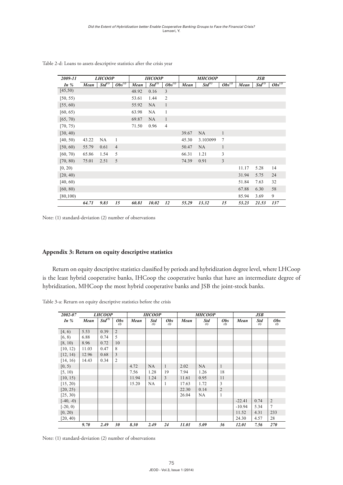| 2009-11   |       | <b>LHCOOP</b>      |                |       | <b>IHCOOP</b>      |                |       | <b>MHCOOP</b>      |                |       | <b>JSB</b>  |                        |
|-----------|-------|--------------------|----------------|-------|--------------------|----------------|-------|--------------------|----------------|-------|-------------|------------------------|
| In $%$    | Mean  | Std <sup>(1)</sup> | $Obs^{(2)}$    | Mean  | Std <sup>(1)</sup> | $Obs^{(2)}$    | Mean  | Std <sup>(1)</sup> | $Obs^{(2)}$    | Mean  | $Std^{(1)}$ | $\overline{Obs}^{(2)}$ |
| [45,50)   |       |                    |                | 48.92 | 0.16               | $\mathfrak{Z}$ |       |                    |                |       |             |                        |
| [50, 55)  |       |                    |                | 53.61 | 1.44               | $\overline{2}$ |       |                    |                |       |             |                        |
| [55, 60)  |       |                    |                | 55.92 | NA                 | $\mathbf{1}$   |       |                    |                |       |             |                        |
| [60, 65)  |       |                    |                | 63.98 | NA                 | 1              |       |                    |                |       |             |                        |
| [65, 70)  |       |                    |                | 69.87 | NA                 | $\mathbf{1}$   |       |                    |                |       |             |                        |
| [70, 75)  |       |                    |                | 71.50 | 0.96               | $\overline{4}$ |       |                    |                |       |             |                        |
| [30, 40)  |       |                    |                |       |                    |                | 39.67 | NA                 | $\mathbf{1}$   |       |             |                        |
| [40, 50)  | 43.22 | NA                 | $\mathbf{1}$   |       |                    |                | 45.30 | 3.103099           | $\overline{7}$ |       |             |                        |
| [50, 60)  | 55.79 | 0.61               | $\overline{4}$ |       |                    |                | 50.47 | NA                 | $\mathbf{1}$   |       |             |                        |
| [60, 70)  | 65.86 | 1.54               | 5              |       |                    |                | 66.31 | 1.21               | 3              |       |             |                        |
| [70, 80)  | 75.01 | 2.51               | 5              |       |                    |                | 74.39 | 0.91               | $\mathfrak{Z}$ |       |             |                        |
| [0, 20)   |       |                    |                |       |                    |                |       |                    |                | 11.17 | 5.28        | 14                     |
| [20, 40)  |       |                    |                |       |                    |                |       |                    |                | 31.94 | 5.75        | 24                     |
| [40, 60)  |       |                    |                |       |                    |                |       |                    |                | 51.84 | 7.63        | 32                     |
| [60, 80)  |       |                    |                |       |                    |                |       |                    |                | 67.88 | 6.30        | 58                     |
| [80, 100) |       |                    |                |       |                    |                |       |                    |                | 85.94 | 3.69        | 9                      |
|           | 64.71 | 9.83               | 15             | 60.81 | 10.02              | 12             | 55.29 | 13.32              | 15             | 53.23 | 21.53       | 137                    |

Table 2-d: Loans to assets descriptive statistics after the crisis year **Table 2-d: Loans to assets descriptive statistics after the crisis year**

Note: (1) standard-deviation (2) number of observations

#### **Appendix 3: Return on equity descriptive statistics Appendix 3: Return on equity descriptive statistics**

Return on equity descriptive statistics classified by periods and hybridization degree level, where LHCoop Return on equity descriptive statistics classified by periods and hybridization degree level, where is the least hybrid cooperative banks, IHCoop the cooperative banks that have an intermediate degree of hybridization, MHCoop the most hybrid cooperative banks and JSB the joint-stock banks. ation, ivit tCoop th

| Table 3-a: Return on equity descriptive statistics before the crisis |  |  |  |
|----------------------------------------------------------------------|--|--|--|
|----------------------------------------------------------------------|--|--|--|

| 2002-07     |       | <b>LHCOOP</b>     |                   |       | <b>IHCOOP</b>     |                   |       | <b>MHCOOP</b>                   |                   |          | JSB               |                   |
|-------------|-------|-------------------|-------------------|-------|-------------------|-------------------|-------|---------------------------------|-------------------|----------|-------------------|-------------------|
| In $%$      | Mean  | $St\bar{d}^{(1)}$ | <b>Obs</b><br>(2) | Mean  | <b>Std</b><br>(1) | <b>Obs</b><br>(2) | Mean  | <b>Std</b><br>$\left( l\right)$ | <b>Obs</b><br>(2) | Mean     | <b>Std</b><br>(1) | <b>Obs</b><br>(2) |
| [4, 6)      | 5.53  | 0.39              | $\overline{2}$    |       |                   |                   |       |                                 |                   |          |                   |                   |
| [6, 8)      | 6.88  | 0.74              | 5                 |       |                   |                   |       |                                 |                   |          |                   |                   |
| [8, 10)     | 8.96  | 0.72              | 10                |       |                   |                   |       |                                 |                   |          |                   |                   |
| [10, 12)    | 11.03 | 0.47              | 8                 |       |                   |                   |       |                                 |                   |          |                   |                   |
| [12, 14]    | 12.96 | 0.68              | 3                 |       |                   |                   |       |                                 |                   |          |                   |                   |
| [14, 16)    | 14.43 | 0.34              | $\overline{2}$    |       |                   |                   |       |                                 |                   |          |                   |                   |
| [0, 5)      |       |                   |                   | 4.72  | <b>NA</b>         | $\mathbf{1}$      | 2.02  | <b>NA</b>                       | 1                 |          |                   |                   |
| [5, 10)     |       |                   |                   | 7.56  | 1.28              | 19                | 7.94  | 1.26                            | 18                |          |                   |                   |
| [10, 15)    |       |                   |                   | 11.94 | 1.24              | 3                 | 11.61 | 0.95                            | 11                |          |                   |                   |
| [15, 20)    |       |                   |                   | 15.20 | <b>NA</b>         | 1                 | 17.63 | 1.72                            | 3                 |          |                   |                   |
| [20, 25)    |       |                   |                   |       |                   |                   | 22.30 | 0.14                            | $\overline{2}$    |          |                   |                   |
| [25, 30)    |       |                   |                   |       |                   |                   | 26.04 | NA                              | $\mathbf{1}$      |          |                   |                   |
| $[-40, -0)$ |       |                   |                   |       |                   |                   |       |                                 |                   | $-22.41$ | 0.74              | $\overline{c}$    |
| $[-20, 0)$  |       |                   |                   |       |                   |                   |       |                                 |                   | $-10.94$ | 5.34              | 7                 |
| [0, 20)     |       |                   |                   |       |                   |                   |       |                                 |                   | 11.52    | 4.31              | 233               |
| [20, 40)    |       |                   |                   |       |                   |                   |       |                                 |                   | 24.30    | 4.57              | 28                |
|             | 9.70  | 2.49              | 30                | 8.30  | 2.49              | 24                | 11.01 | 5.09                            | 36                | 12.01    | 7.56              | 270               |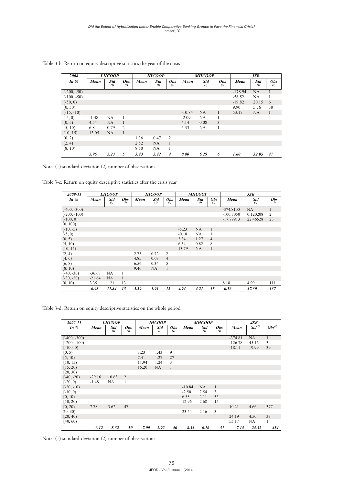| 2008          |         | <b>LHCOOP</b>                   |                   |      | <b>IHCOOP</b>                   |                   |          | <b>MHCOOP</b>            |                   |           | <b>JSB</b>               |                   |
|---------------|---------|---------------------------------|-------------------|------|---------------------------------|-------------------|----------|--------------------------|-------------------|-----------|--------------------------|-------------------|
| In $%$        | Mean    | <b>Std</b><br>$\left( l\right)$ | <b>Obs</b><br>(2) | Mean | <b>Std</b><br>$\left( l\right)$ | <b>Obs</b><br>(2) | Mean     | Std<br>$\left( l\right)$ | <b>Obs</b><br>(2) | Mean      | Std<br>$\left( l\right)$ | <b>Obs</b><br>(2) |
| $[-200, -50)$ |         |                                 |                   |      |                                 |                   |          |                          |                   | $-178.94$ | NA                       |                   |
| $[-100, -50)$ |         |                                 |                   |      |                                 |                   |          |                          |                   | $-56.52$  | NA                       |                   |
| $[-50, 0)$    |         |                                 |                   |      |                                 |                   |          |                          |                   | $-19.82$  | 20.15                    | 6                 |
| [0, 50)       |         |                                 |                   |      |                                 |                   |          |                          |                   | 9.90      | 5.76                     | 38                |
| $[-15, -10)$  |         |                                 |                   |      |                                 |                   | $-10.84$ | <b>NA</b>                | $\mathbf{1}$      | 53.17     | NA.                      | 1                 |
| $[-5, 0)$     | $-1.48$ | NA                              |                   |      |                                 |                   | $-2.09$  | NA                       |                   |           |                          |                   |
| [0, 5)        | 4.54    | NA                              |                   |      |                                 |                   | 4.14     | 0.08                     | 3                 |           |                          |                   |
| [5, 10)       | 6.84    | 0.79                            | 2                 |      |                                 |                   | 5.33     | NA                       | 1                 |           |                          |                   |
| [10, 15)      | 13.05   | NA                              | 1                 |      |                                 |                   |          |                          |                   |           |                          |                   |
| [0, 2)        |         |                                 |                   | 1.36 | 0.47                            | 2                 |          |                          |                   |           |                          |                   |
| [2, 4)        |         |                                 |                   | 2.52 | <b>NA</b>                       | 1                 |          |                          |                   |           |                          |                   |
| [8, 10)       |         |                                 |                   | 8.50 | <b>NA</b>                       | 1                 |          |                          |                   |           |                          |                   |
|               | 5.95    | 5.23                            | 5                 | 3.43 | 3.42                            | $\overline{4}$    | 0.80     | 6.29                     | 6                 | 1.60      | 32.05                    | 47                |

Table 3-b: Return on equity descriptive statistics the year of the crisis **Table 3-b: Return on equity descriptive statistics the year of the crisis** turn on equity descriptive statistics the year o

Note: (1) standard-deviation (2) number of observations *5.95 5.23 5 3.43 3.42 4 0.80 6.29 6 1.60 32.05 47*

Table 3-c: Return on equity descriptive statistics after the crisis year

| 2009-11        |          | <i>LHCOOP</i>     |                   |      | <b>IHCOOP</b>                   |                   |         | <b>MHCOOP</b>     |                   |             | JSB                             |                   |
|----------------|----------|-------------------|-------------------|------|---------------------------------|-------------------|---------|-------------------|-------------------|-------------|---------------------------------|-------------------|
| In $%$         | Mean     | <b>Std</b><br>(1) | <b>Obs</b><br>(2) | Mean | <b>Std</b><br>$\left( l\right)$ | <b>Obs</b><br>(2) | Mean    | <b>Std</b><br>(1) | <b>Obs</b><br>(2) | Mean        | <b>Std</b><br>$\left( l\right)$ | <b>Obs</b><br>(2) |
| $[-400, -300)$ |          |                   |                   |      |                                 |                   |         |                   |                   | $-374.8100$ | NA                              |                   |
| $[-200, -100)$ |          |                   |                   |      |                                 |                   |         |                   |                   | $-100.7050$ | 0.120208                        | 2                 |
| $[-100, 0)$    |          |                   |                   |      |                                 |                   |         |                   |                   | $-17.79913$ | 22.46528                        | 23                |
| [0, 100)       |          |                   |                   |      |                                 |                   |         |                   |                   |             |                                 |                   |
| $[-10, -5)$    |          |                   |                   |      |                                 |                   | $-5.23$ | NA                | $\mathbf{1}$      |             |                                 |                   |
| $[-5, 0)$      |          |                   |                   |      |                                 |                   | $-0.18$ | NA                | 1                 |             |                                 |                   |
| [0, 5)         |          |                   |                   |      |                                 |                   | 3.34    | 1.27              | $\overline{4}$    |             |                                 |                   |
| [5, 10)        |          |                   |                   |      |                                 |                   | 6.54    | 0.82              | 8                 |             |                                 |                   |
| [10, 15)       |          |                   |                   |      |                                 |                   | 13.79   | NA                | $\mathbf{1}$      |             |                                 |                   |
| [2, 4)         |          |                   |                   | 2.75 | 0.72                            | $\overline{2}$    |         |                   |                   |             |                                 |                   |
| [4, 6)         |          |                   |                   | 4.85 | 0.67                            | $\overline{4}$    |         |                   |                   |             |                                 |                   |
| [6, 8)         |          |                   |                   | 6.56 | 0.34                            | 5                 |         |                   |                   |             |                                 |                   |
| [8, 10)        |          |                   |                   | 9.46 | NA                              | $\mathbf{1}$      |         |                   |                   |             |                                 |                   |
| $[-40, -30)$   | $-36.68$ | <b>NA</b>         |                   |      |                                 |                   |         |                   |                   |             |                                 |                   |
| $[-30, -20)$   | $-21.64$ | <b>NA</b>         | 1                 |      |                                 |                   |         |                   |                   |             |                                 |                   |
| [0, 10)        | 3.35     | 1.21              | 13                |      |                                 |                   |         |                   |                   | 8.18        | 4.99                            | 111               |
|                | $-0.98$  | 11.84             | 15                | 5.59 | 1.91                            | 12                | 4.94    | 4.21              | 15                | $-0.56$     | 37.30                           | 137               |

Table 3-d: Return on equity descriptive statistics on the whole period

| 2002-11        |          | <i>LHCOOP</i>            |                   |       | <b>IHCOOP</b>     |                   |          | <b>MHCOOP</b> |                   |           | JSB         |              |
|----------------|----------|--------------------------|-------------------|-------|-------------------|-------------------|----------|---------------|-------------------|-----------|-------------|--------------|
| In $%$         | Mean     | Std<br>$\left( l\right)$ | <b>Obs</b><br>(2) | Mean  | <b>Std</b><br>(1) | <b>Obs</b><br>(2) | Mean     | Std<br>(1)    | <b>Obs</b><br>(2) | Mean      | $Std^{(1)}$ | $Obs^{(2)}$  |
| $[-400, -300)$ |          |                          |                   |       |                   |                   |          |               |                   | $-374.81$ | NA          | $\mathbf{1}$ |
| $[-200, -100)$ |          |                          |                   |       |                   |                   |          |               |                   | $-126.78$ | 45.16       | 3            |
| $[-100, 0)$    |          |                          |                   |       |                   |                   |          |               |                   | $-18.11$  | 19.99       | 39           |
| [0, 5)         |          |                          |                   | 3.23  | 1.43              | 9                 |          |               |                   |           |             |              |
| [5, 10)        |          |                          |                   | 7.41  | 1.27              | 27                |          |               |                   |           |             |              |
| [10, 15)       |          |                          |                   | 11.94 | 1.24              | 3                 |          |               |                   |           |             |              |
| [15, 20)       |          |                          |                   | 15.20 | NA                | $\mathbf{1}$      |          |               |                   |           |             |              |
| [20, 30)       |          |                          |                   |       |                   |                   |          |               |                   |           |             |              |
| $[-40, -20)$   | $-29.16$ | 10.63                    | 2                 |       |                   |                   |          |               |                   |           |             |              |
| $[-20, 0)$     | $-1.48$  | NA                       | 1                 |       |                   |                   |          |               |                   |           |             |              |
| $[-20, -10)$   |          |                          |                   |       |                   |                   | $-10.84$ | NA            | $\mathbf{1}$      |           |             |              |
| $[-10, 0)$     |          |                          |                   |       |                   |                   | $-2.50$  | 2.54          | 3                 |           |             |              |
| [0, 10)        |          |                          |                   |       |                   |                   | 6.53     | 2.11          | 35                |           |             |              |
| [10, 20)       |          |                          |                   |       |                   |                   | 12.96    | 2.68          | 15                |           |             |              |
| [0, 20)        | 7.78     | 3.62                     | 47                |       |                   |                   |          |               |                   | 10.21     | 4.66        | 377          |
| 20, 30         |          |                          |                   |       |                   |                   | 23.54    | 2.16          | 3                 |           |             |              |
| [20, 40)       |          |                          |                   |       |                   |                   |          |               |                   | 24.19     | 4.50        | 33           |
| [40, 60]       |          |                          |                   |       |                   |                   |          |               |                   | 53.17     | NA          | 1            |
|                | 6.12     | 8.32                     | 50                | 7.00  | 2.92              | 40                | 8.33     | 6.16          | 57                | 7.14      | 24.32       | 454          |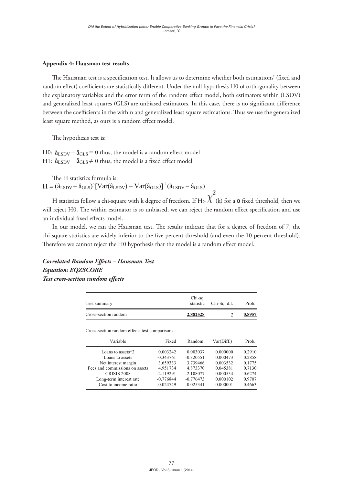#### **Appendix 4: Hausman test results Appendix 4: Hausman test results**

Appendix 4: Hausman test results<br>The Hausman test is a specification test. It allows us to determine whether both estimations' (fixed and  $\frac{1}{2}$  random effect) coefficients are statistically different. Under the null hypothesis H0 of orthogonality between the explanatory variables and the error term of the random effect model, both estimators within (LSDV) and generalized least squares (GLS) are unbiased estimators. In this case, there is no significant difference between the coefficients in the within and generalized least square estimations. Thus we use the generalized<br>least square method, as ours is a random effect model. least square method, as ours is a random effect model. 21**Table 3-d: Return on equity descriptive statistics on the whole period**

The hypothesis test is:

H0:  $\hat{a}_{\text{LSDV}} - \hat{a}_{\text{GLS}} = 0$  thus, the model is a random effect model H0:  $\hat{a}_{\text{LSDV}} - \hat{a}_{\text{GLS}} = 0$  thus, the model is a random effect model<br>H1:  $\hat{a}_{\text{LSDV}} - \hat{a}_{\text{GLS}} \neq 0$  thus, the model is a fixed effect model

The H statistics formula is: The H statistics formula is:  $H = (\hat{a}_{\text{LSDV}} - \hat{a}_{\text{GLS}})' [\text{Var}(\hat{a}_{\text{LSDV}}) - \text{Var}(\hat{a}_{\text{GLS}})]^{-1} (\hat{a}_{\text{LSDV}} - \hat{a}_{\text{GLS}})$ 

H statistics follow a chi-square with k degree of freedom. If H>  $\chi^-$  (k) for a  $\alpha$  fixed threshold, then we will reject H0. The within estimator is so unbiased, we can reject the random effect specification and use an individual fixed effects model. itistics follow a chi-square with k degree of freedom. If  $t_{\text{total}}$  refers H0. The within estimator is so unbiased, we can refer the random effect the random effect the random effect the random effect the random effect the random effect the random effect the random effect the ra

chi-square statistics are widely inferior to the five percent threshold (and even the 10 percent threshold).  $\frac{1}{\sqrt{2}}$  the chiracter are widely inferior to the five percent threshold (and even the 10 percent threshold). Therefore we cannot reject the H0 hypothesis that the model is a random effect model. In our model, we ran the Hausman test. The results indicate that for a degree of freedom of 7, the ir model, we ran the Hausman test. The results in the cannot refer the 110 hypothesis and the model is a famoun three model.

#### $\epsilon$  is the set of  $\epsilon$ *Correlated Random Effects – Hausman Test*  $Test\ cross-section\ random\ effects$ Correlated Random Effects - Hausman Test *Equation: EQZSCORE Equation: EQZSCORE*

| Test summary                                   | Chi-sq.<br>statistic | $Chi-Sq. d.f.$ | Prob.      |        |  |  |  |
|------------------------------------------------|----------------------|----------------|------------|--------|--|--|--|
| Cross-section random                           | 2.882528             | 7              | 0.8957     |        |  |  |  |
| Cross-section random effects test comparisons: |                      |                |            |        |  |  |  |
| Variable                                       | Fixed                | Random         | Var(Diff.) | Prob.  |  |  |  |
| Loans to assets $\frac{3}{2}$                  | 0.003242             | 0.003037       | 0.000000   | 0.2910 |  |  |  |
| Loans to assets                                | $-0.343761$          | $-0.320551$    | 0.000473   | 0.2858 |  |  |  |
| Net interest margin                            | 3.659333             | 3.739466       | 0.003532   | 0.1775 |  |  |  |
| Fees and commissions on assets                 | 4.951734             | 4.873370       | 0.045381   | 0.7130 |  |  |  |
| <b>CRISIS 2008</b>                             | $-2.119291$          | $-2.108077$    | 0.000534   | 0.6274 |  |  |  |
| Long-term interest rate                        | $-0.776844$          | $-0.776473$    | 0.000102   | 0.9707 |  |  |  |
| Cost to income ratio                           | $-0.024749$          | $-0.025341$    | 0.000001   | 0.4663 |  |  |  |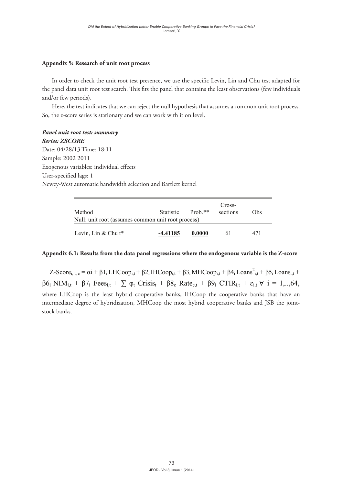#### **Appendix 5: Research of unit root process**

In order to check the unit root test presence, we use the specific Levin, Lin and Chu test adapted for the panel data unit root test search. This fits the panel that contains the least observations (few individuals<br>and/or few periode) and/or few periods).

there, the test indicates that we can reject the null hypothesis that assumes a common unit root process. So, the z-score series is stationary and we can reject the num hypothesis that So, the z-score series is stationary and we can work with it on level.

## *Panel unit root test: summary*<br>Co, the ZSCORE  $\mathbf{h}$  , the test indicates that we can reject the null hypothesis that assumes a common unit root unit root unit root unit root unit root unit root unit root unit root unit root unit root unit root unit root unit root

*Series: ZSCORE*

Date: 04/28/13 Time: 18:11 Sample: 2002 2011 *Series: ZSCORE* r<br>Exogenous variables: individual effects User-specified lags: 1 Newey-West automatic bandwidth selection and Bartlett kernel  $\frac{1}{2}$ 

| Method                                             | Statistic | $Prob.**$ | Cross-<br>sections | Obs |  |  |  |
|----------------------------------------------------|-----------|-----------|--------------------|-----|--|--|--|
| Null: unit root (assumes common unit root process) |           |           |                    |     |  |  |  |
| Levin, Lin & Chu $t^*$                             | -4.41185  | 0.0000    | 6 I                | 471 |  |  |  |

#### **Appendix 6.1: Results from the data panel regressions where the endogenous variable is the Z-score Appendix 6.1: Results from the data panel regressions where the endogenous variable is the Z-score Appendix 6.1: Results from the data panel regressions where the endogenous variable is**   $\frac{1}{2}$

**Appendix 6.1: Results from the data panel regressions where the endogenous variable is**  Z-Score<sub>i, t, c</sub> =  $\alpha i$  + β1<sub>i</sub> LHCoop<sub>i,t</sub> + β2<sub>i</sub> IHCoop<sub>i,t</sub> + β3<sub>i</sub> MHCoop<sub>i,t</sub> + β4<sub>i</sub> Loans<sup>2</sup><sub>i,t</sub> + β5<sub>i</sub> Loans<sub>i,t</sub> + where LHCoop is the least hybrid cooperative banks, IHCoop the cooperative banks that have an finite EFFCoop is the feast hypna cooperative banks, HTCoop the cooperative banks that have an<br>intermediate degree of hybridization MHCoop the most hybrid cooperative banks and ISB the iointintermediate degree of hybridization, MHCoop the most hybrid cooperative banks and JSB the jointsince of the most hybridization, MHCoop the most hybrid cooperative banks and JSB  $\beta$ 6: NIM<sub>i</sub>, + β7; Fees<sub>i</sub>, +  $\sum$  φ, Crisis, + β8<sub>c</sub> Rate<sub>c</sub>, + β9; CTIR<sub>i</sub>, + ε<sub>i</sub>, ∀ i = 1,..64  $\beta 6_i$  NIM<sub>i,t</sub> +  $\beta 7_i$  Fees<sub>i,t</sub> +  $\sum \varphi_t$  Crisis<sub>t</sub> +  $\beta 8_c$  Rate<sub>c,t</sub> +  $\beta 9_i$  CTIR<sub>i,t</sub> +  $\varepsilon_{i,t}$   $\forall$  i = 1,..,64, stock banks.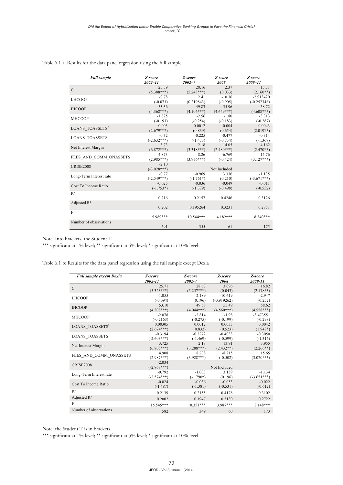| Table 6.1 a: Results for the data panel regression using the full sample |  |  |
|--------------------------------------------------------------------------|--|--|
|                                                                          |  |  |

| <b>Full sample</b>          | Z-score       | Z-score      | Z-score      | Z-score       |
|-----------------------------|---------------|--------------|--------------|---------------|
|                             | $2002 - 11$   | $2002 - 7$   | 2008         | $2009 - 11$   |
| $\mathcal{C}$               | 25.59         | 28.16        | 2.37         | 15.71         |
|                             | $(5.388***)$  | $(5.248***)$ | (0.033)      | $(2.160**)$   |
| <b>LHCOOP</b>               | $-0.78$       | 2.41         | $-10.36$     | $-2.913420$   |
|                             | $(-0.071)$    | (0.219843)   | $(-0.905)$   | $(-0.252346)$ |
| <b>IHCOOP</b>               | 53.36         | 49.83        | 55.96        | 58.72         |
|                             | $(4.368***)$  | $(4.106***)$ | $(4.649***)$ | $(4.608***)$  |
| <b>MHCOOP</b>               | $-1.825$      | $-2.56$      | $-1.80$      | $-3.313$      |
|                             | $(-0.191)$    | $(-0.254)$   | $(-0.183)$   | $(-0.287)$    |
| LOANS_TOASSETS <sup>2</sup> | 0.003         | 0.0012       | 0.004        | 0.0043        |
|                             | $(2.679***)$  | (0.839)      | (0.654)      | $(2.019**)$   |
|                             | $-0.32$       | $-0.225$     | $-0.477$     | $-0.314$      |
| <b>LOANS TOASSETS</b>       | $(-2.632***)$ | $(-1.473)$   | $(-0.734)$   | $(-1.367)$    |
|                             | 3.73          | 2.18         | 14.05        | 4.162         |
| Net Interest Margin         | $(6.872***)$  | $(3.318***)$ | $(2.480***)$ | $(2.470**)$   |
|                             | 4.873         | 8.26         | $-6.769$     | 15.76         |
| FEES AND COMM ONASSETS      | $(2.985***)$  | $(3.976***)$ | $(-0.424)$   | $(3.127***)$  |
|                             | $-2.10$       |              |              |               |
| <b>CRISE2008</b>            | $(-3.028***)$ |              | Not Included |               |
|                             | $-0.77$       | $-0.969$     | 3.336        | $-1.135$      |
| Long-Term Interest rate     | $(-2.549***)$ | $(-1.761*)$  | (0.210)      | $(-3.671***)$ |
|                             | $-0.025$      | $-0.036$     | $-0.049$     | $-0.011$      |
| Cost To Income Ratio        | $(-1.753*)$   | $(-1.379)$   | $(-0.498)$   | $(-0.552)$    |
| $R^2$                       |               |              |              |               |
|                             | 0.216         | 0.2157       | 0.4246       | 0.3126        |
| Adjusted $R^2$              |               |              |              |               |
|                             | 0.202         | 0.195264     | 0.3231       | 0.2751        |
| F                           |               |              |              |               |
|                             | 15.989***     | $10.544***$  | $4.182***$   | $8.340***$    |
| Number of observations      |               |              |              |               |
|                             | 591           | 355          | 61           | 175           |

Note: Into brackets, the Student T.

\*\*\* significant at 1% level; \*\* significant at 5% level; \* significant at 10% level.

Table 6.1 b: Results for the data panel regression using the full sample except Dexia **Table 6.1 b: Results for the data panel regression using the full sample except Dexia**

| <b>Full sample except Dexia</b> | Z-score<br>2002-11 | Z-score<br>2002-7 | Z-score<br>2008 | Z-score<br>2009-11 |
|---------------------------------|--------------------|-------------------|-----------------|--------------------|
| C                               | 25.71              | 28.67             | 3.096           | 16.82              |
|                                 | $(5.323***)$       | $(5.257***)$      | (0.043)         | $(2.178**)$        |
| <b>LHCOOP</b>                   | $-1.055$           | 2.189             | $-10.619$       | $-2.947$           |
|                                 | $(-0.094)$         | (0.196)           | $(-0.919262)$   | $(-0.252)$         |
| <b>IHCOOP</b>                   | 53.10              | 49.58             | 55.49           | 58.62              |
|                                 | $(4.308***)$       | $(4.044***)$      | $(4.560***)$    | $(4.558***)$       |
| <b>MHCOOP</b>                   | $-2.078$           | $-2.814$          | $-1.98$         | $-3.473551$        |
|                                 | $(-0.2163)$        | $(-0.275)$        | $(-0.199)$      | $(-0.298)$         |
| LOANS_TOASSETS <sup>2</sup>     | 0.00305            | 0.0012            | 0.0033          | 0.0042             |
|                                 | $(2.674***)$       | (0.832)           | (0.523)         | $(1.948*)$         |
| <b>LOANS TOASSETS</b>           | $-0.3194$          | $-0.2272$         | $-0.4033$       | $-0.3050$          |
|                                 | $(-2.603***)$      | $(-1.469)$        | $(-0.599)$      | $(-1.316)$         |
| Net Interest Margin             | 3.725              | 2.18              | 13.91           | 3.955              |
|                                 | $(6.805***)$       | $(3.288***)$      | $(2.432**)$     | $(2.266**)$        |
| FEES AND COMM ONASSETS          | 4.908              | 8.238             | $-8.215$        | 15.65              |
|                                 | $(2.987***)$       | $(3.928***)$      | $(-0.502)$      | $(3.070***)$       |
| <b>CRISE2008</b>                | $-2.034$           |                   |                 |                    |
|                                 | $(-2.868***)$      |                   | Not Included    |                    |
| Long-Term Interest rate         | $-0.792$           | $-1.003$          | 3.139           | $-1.134$           |
|                                 | $(-2.574***)$      | $(-1.790*)$       | (0.196)         | $(-3.651***)$      |
| Cost To Income Ratio            | $-0.024$           | $-0.036$          | $-0.053$        | $-0.022$           |
|                                 | $(-1.487)$         | $(-1.381)$        | $(-0.531)$      | $(-0.612)$         |
| R <sup>2</sup>                  | 0.2139             | 0.2155            | 0.4178          | 0.3102             |
| Adjusted $R^2$                  | 0.2002             | 0.1947            | 0.3130          | 0.2722             |
| F                               | 15.545***          | $10.351***$       | 3.987***        | 8.148***           |
| Number of observations          | 582                | 349               | 60              | 173                |

Note: the Student T is in brackets.

**Table 6.1 c: results for the data panel regression using the full sample except rabobank** \*\*\* significant at 1% level; \*\* significant at 5% level; \* significant at 10% level.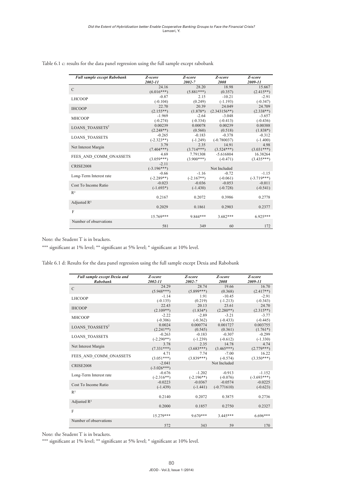| <b>Full sample except Rabobank</b> | Z-score<br>2002-11 | Z-score<br>2002-7 | Z-score<br>2008 | Z-score<br>2009-11 |
|------------------------------------|--------------------|-------------------|-----------------|--------------------|
| $\mathcal{C}$                      | 24.16              | 28.20             | 18.98           | 15.667             |
|                                    | $(6.016***)$       | $(5.881***)$      | (0.357)         | $(2.415**)$        |
| <b>LHCOOP</b>                      | $-0.87$            | 2.15              | $-10.21$        | $-2.91$            |
|                                    | $(-0.104)$         | (0.249)           | $(-1.193)$      | $(-0.347)$         |
| <b>IHCOOP</b>                      | 22.70              | 20.39             | 24.049          | 24.709             |
|                                    | $(2.155**)$        | $(1.878*)$        | $(2.343156**)$  | $(2.338**)$        |
| <b>MHCOOP</b>                      | $-1.969$           | $-2.64$           | $-3.048$        | $-3.657$           |
|                                    | $(-0.274)$         | $(-0.334)$        | $(-0.413)$      | $(-0.436)$         |
| LOANS_TOASSETS <sup>2</sup>        | 0.00239            | 0.00078           | 0.00239         | 0.00388            |
|                                    | $(2.248**)$        | (0.560)           | (0.518)         | $(1.838*)$         |
| <b>LOANS TOASSETS</b>              | $-0.265$           | $-0.183$          | $-0.378$        | $-0.312$           |
|                                    | $(-2.323**)$       | $(-1.249)$        | $(-0.780037)$   | $(-1.400)$         |
| Net Interest Margin                | 3.79               | 2.35              | 14.91           | 4.98               |
|                                    | $(7.404***)$       | $(3.714***)$      | $(3.524***)$    | $(3.031***)$       |
| FEES AND COMM ONASSETS             | 4.69               | 7.791308          | $-5.616804$     | 16.38264           |
|                                    | $(3.059***)$       | $(3.900***)$      | $(-0.471)$      | $(3.435***)$       |
| <b>CRISE2008</b>                   | $-2.11$            |                   |                 |                    |
|                                    | $(-3.196***)$      |                   | Not Included    |                    |
| Long-Term Interest rate            | $-0.66$            | $-1.16$           | $-0.72$         | $-1.15$            |
|                                    | $(-2.289**)$       | $(-2.167**)$      | $(-0.061)$      | $(-3.719***)$      |
| Cost To Income Ratio               | $-0.023$           | $-0.036$          | $-0.053$        | $-0.011$           |
|                                    | $(-1.693*)$        | $(-1.430)$        | $(-0.728)$      | $(-0.541)$         |
| $R^2$                              |                    |                   |                 |                    |
|                                    | 0.2167             | 0.2072            | 0.3986          | 0.2778             |
| Adjusted $R^2$                     |                    |                   |                 |                    |
|                                    | 0.2029             | 0.1861            | 0.2903          | 0.2377             |
| F                                  |                    |                   |                 |                    |
|                                    | $15769***$         | 9 844***          | $3.682***$      | $6.925***$         |
| Number of observations             |                    |                   |                 |                    |
|                                    | 581                | 349               | 60              | 172                |

Table 6.1 c: results for the data panel regression using the full sample except rabobank **Table 6.1 c: results for the data panel regression using the full sample except rabobank**

Note: the Student T is in brackets.

\*\*\* significant at 1% level; \*\* significant at 5% level; \* significant at 10% level.

Table 6.1 d: Results for the data panel regression using the full sample except Dexia and Rabobank

| <b>Full sample except Dexia and</b> | Z-score                   | Z-score      | Z-score       | Z-score       |
|-------------------------------------|---------------------------|--------------|---------------|---------------|
| <b>Rabobank</b>                     | 2002-11                   | 2002-7       | 2008          | 2009-11       |
| $\mathcal{C}$                       | 24.29                     | 28.74        | 19.66         | 16.70         |
|                                     | $(5.948***)$              | $(5.899***)$ | (0.368)       | $(2.417**)$   |
| <b>LHCOOP</b>                       | $-1.14$                   | 1.91         | $-10.45$      | $-2.91$       |
|                                     | $(-0.135)$                | (0.219)      | $(-1.213)$    | $(-0.343)$    |
| <b>IHCOOP</b>                       | 22.43                     | 20.13        | 23.61         | 24.70         |
|                                     | $(2.109**)$               | $(1.834*)$   | $(2.280**)$   | $(2.315**)$   |
| <b>MHCOOP</b>                       | $-2.22$                   | $-2.89$      | $-3.21$       | $-3.77$       |
|                                     | $(-0.306)$                | $(-0.362)$   | $(-0.433)$    | $(-0.445)$    |
| LOANS TOASSETS <sup>2</sup>         | 0.0024                    | 0.000774     | 0.001727      | 0.003755      |
|                                     | $(2.241**)$               | (0.545)      | (0.361)       | $(1.761*)$    |
| <b>LOANS TOASSETS</b>               | $-0.263$                  | $-0.183$     | $-0.307$      | $-0.299$      |
|                                     | $(-2.290**)$              | $(-1.239)$   | $(-0.612)$    | $(-1.330)$    |
| Net Interest Margin                 | 3.78                      | 2.35         | 14.78         | 4.74          |
|                                     | $(7.331***)$              | $(3.683***)$ | $(3.465***)$  | $(2.779***)$  |
| FEES AND COMM ONASSETS              | 4.71                      | 7.74         | $-7.00$       | 16.22         |
|                                     | $(3.051***)$              | $(3.839***)$ | $(-0.574)$    | $(3.350***)$  |
| <b>CRISE2008</b>                    | $-2.041$<br>$(-3.026***)$ |              | Not Included  |               |
| Long-Term Interest rate             | $-0.676$                  | $-1.202$     | $-0.913$      | $-1.152$      |
|                                     | $(-2.316**)$              | $(-2.196**)$ | $(-0.076)$    | $(-3.693***)$ |
| Cost To Income Ratio                | $-0.0223$                 | $-0.0367$    | $-0.0574$     | $-0.0225$     |
|                                     | $(-1.439)$                | $(-1.441)$   | $(-0.771610)$ | $(-0.623)$    |
| $R^2$                               | 0.2140                    | 0.2072       | 0.3875        | 0.2736        |
| Adjusted $R^2$                      | 0.2000                    | 0.1857       | 0.2750        | 0.2327        |
| F                                   | 15.279***                 | $9.670***$   | $3.445***$    | $6.696***$    |
| Number of observations              | 572                       | 343          | 59            | 170           |

Note: the Student T is in brackets.

**Appendix 6.2: Results of the data panel regressions where the endogenous variable is the**  \*\*\* significant at 1% level; \*\* significant at 5% level; \* significant at 10% level.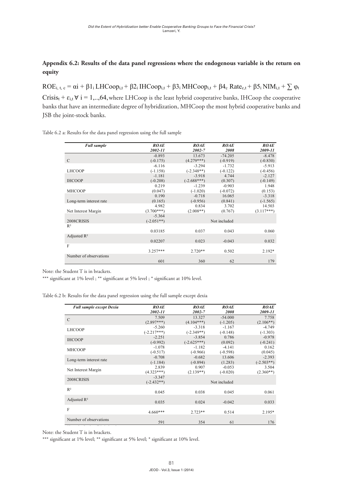# Appendix 6.2: Results of the data panel regressions where the endogenous variable is the return on **equity**

 $ROE_{i, t, c} = \alpha i + \beta 1_i LHCoop_{i, t} + \beta 2_i IHCoop_{i, t} + \beta 3_i MHCoop_{i, t} + \beta 4_c Rate_{c, t} + \beta 5_i NIM_{i, t} + \sum \varphi_i$ Crisis<sub>t</sub> +  $\varepsilon_{i,t}$   $\forall$  i = 1,..,64, where LHCoop is the least hybrid cooperative banks, IHCoop the cooperative where  $C_{h}$  is the least hyproximative cooperative banks the cooperative banks, IHCoop ine cooperative banks that have an intermediate degree of hybridization, MHCoop the most hybrid cooperative banks and<br>JSB jsd the joint-stock bank banks that have an intermediate degree of hybridization, MHCoop the most hybrid cooperative banks and JSB the joint-stock banks.

| <b>Full sample</b>      | <b>ROAE</b><br>2002-11 | <b>ROAE</b><br>2002-7 | <b>ROAE</b><br>2008 | <b>ROAE</b><br>2009-11 |
|-------------------------|------------------------|-----------------------|---------------------|------------------------|
|                         | $-0.893$               | 13.673                | $-74.205$           | $-8.478$               |
| $\mathcal{C}$           | $(-0.175)$             | $(4.279***)$          | $(-0.919)$          | $(-0.830)$             |
|                         | $-6.116$               | $-3.294$              | $-1.732$            | $-5.913$               |
| <b>LHCOOP</b>           | $(-1.158)$             | $(-2.348**)$          | $(-0.122)$          | $(-0.456)$             |
|                         | $-1.181$               | $-3.918$              | 4.744               | $-2.127$               |
| <b>IHCOOP</b>           | $(-0.208)$             | $(-2.688***)$         | (0.307)             | $(-0.149)$             |
|                         | 0.219                  | $-1.239$              | $-0.903$            | 1.948                  |
| <b>MHCOOP</b>           | (0.047)                | $(-1.020)$            | $(-0.072)$          | (0.153)                |
|                         | 0.190                  | $-0.718$              | 16.065              | $-3.318$               |
| Long-term interest rate | (0.165)                | $(-0.956)$            | (0.841)             | $(-1.565)$             |
|                         | 4.982                  | 0.834                 | 3.702               | 14.503                 |
| Net Interest Margin     | $(3.700***)$           | $(2.008**)$           | (0.767)             | $(3.117***)$           |
|                         | $-5.364$               |                       |                     |                        |
| 2008CRISIS              | $(-2.051**)$           |                       | Not included        |                        |
| $R^2$                   |                        |                       |                     |                        |
|                         | 0.03185                | 0.037                 | 0.043               | 0.060                  |
| Adjusted $R^2$          |                        |                       |                     |                        |
|                         | 0.02207                | 0.023                 | $-0.043$            | 0.032                  |
| F                       |                        |                       |                     |                        |
|                         | $3.257***$             | $2.720**$             | 0.502               | $2.192*$               |
| Number of observations  |                        |                       |                     |                        |
|                         | 601                    | 360                   | 62                  | 179                    |

Table 6.2 a: Results for the data panel regression using the full sample

Note: the Student T is in brackets.

 $\frac{1}{\sqrt{2}}$ 

\*\*\* significant at 1% level ; \*\* significant at 5% level ; \* significant at 10% level.

Table 6.2 b: Results for the data panel regression using the full sample except dexia **Table 6.2 b: Results for the data panel regression using the full sample except dexia** 

| <b>Full sample except Dexia</b> | <b>ROAE</b>              | <b>ROAE</b>   | <b>ROAE</b>  | <b>ROAE</b>  |
|---------------------------------|--------------------------|---------------|--------------|--------------|
|                                 | 2002-11                  | 2002-7        | 2008         | 2009-11      |
| $\mathcal{C}$                   | 7.509                    | 13.327        | $-54.000$    | 7.758        |
|                                 | $(2.897***)$             | $(4.104***)$  | $(-1.205)$   | $(2.106**)$  |
| <b>LHCOOP</b>                   | $-5.260$                 | $-3.318$      | $-1.167$     | $-4.749$     |
|                                 | $(-2.217***)$            | $(-2.349**)$  | $(-0.148)$   | $(-1.303)$   |
| <b>IHCOOP</b>                   | $-2.251$                 | $-3.854$      | 0.786        | $-0.978$     |
|                                 | $(-0.992)$               | $(-2.625***)$ | (0.092)      | $(-0.241)$   |
| <b>MHCOOP</b>                   | $-1.078$                 | $-1.182$      | $-4.141$     | 0.162        |
|                                 | $(-0.517)$               | $(-0.966)$    | $(-0.598)$   | (0.045)      |
| Long-term interest rate         | $-0.708$                 | $-0.682$      | 13.606       | $-2.393$     |
|                                 | $(-1.184)$               | $(-0.894)$    | (1.283)      | $(-2.503**)$ |
| Net Interest Margin             | 2.839                    | 0.907         | $-0.053$     | 3.504        |
|                                 | $(4.323***)$             | $(2.139**)$   | $(-0.020)$   | $(2.360**)$  |
| 2008CRISIS                      | $-3.347$<br>$(-2.432**)$ |               | Not included |              |
| $R^2$                           | 0.045                    | 0.038         | 0.045        | 0.061        |
| Adjusted $R^2$                  | 0.035                    | 0.024         | $-0.042$     | 0.033        |
| $\mathbf{F}$                    | $4.660***$               | $2.723**$     | 0.514        | 2.195*       |
| Number of observations          | 591                      | 354           | 61           | 176          |

Note: the Student T is in brackets.

**Table 6.2 c: Results for the data panel regression using the full sample except rabobank** \*\*\* significant at 1% level; \*\* significant at 5% level; \* significant at 10% level.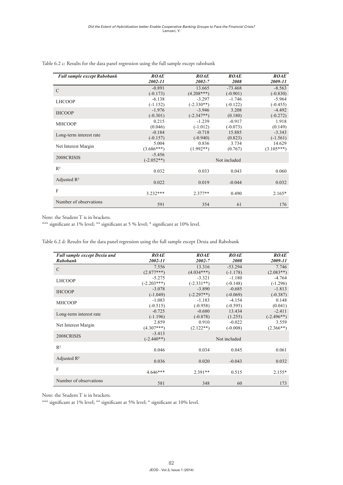| <b>Full sample except Rabobank</b> | <b>ROAE</b><br>2002-11               | <b>ROAE</b><br>2002-7    | <b>ROAE</b><br>2008            | <b>ROAE</b><br>2009-11               |
|------------------------------------|--------------------------------------|--------------------------|--------------------------------|--------------------------------------|
| $\mathcal{C}$                      | $-0.891$                             | 13.665<br>$(4.208***)$   | $-73.468$                      | $-8.563$                             |
| <b>LHCOOP</b>                      | $(-0.173)$<br>$-6.138$<br>$(-1.152)$ | $-3.297$<br>$(-2.330**)$ | $(-0.901)$<br>$-1.746$         | $(-0.830)$<br>$-5.964$               |
| <b>IHCOOP</b>                      | $-1.976$<br>$(-0.301)$               | $-3.946$<br>$(-2.347**)$ | $(-0.122)$<br>3.208<br>(0.180) | $(-0.455)$<br>$-4.492$<br>$(-0.272)$ |
| <b>MHCOOP</b>                      | 0.215<br>(0.046)                     | $-1.239$<br>$(-1.012)$   | $-0.917$<br>$(-0.073)$         | 1.918<br>(0.149)                     |
| Long-term interest rate            | $-0.184$<br>$(-0.157)$               | $-0.718$<br>$(-0.940)$   | 15.885<br>(0.823)              | $-3.343$<br>$(-1.561)$               |
| Net Interest Margin                | 5.004<br>$(3.686***)$                | 0.836<br>$(1.992**)$     | 3.734<br>(0.767)               | 14.629<br>$(3.105***)$               |
| 2008CRISIS                         | $-5.456$<br>$(-2.052**)$             |                          | Not included                   |                                      |
| $R^2$                              | 0.032                                | 0.033                    | 0.043                          | 0.060                                |
| Adjusted $\mathbb{R}^2$            | 0.022                                | 0.019                    | $-0.044$                       | 0.032                                |
| $\mathbf{F}$                       | $3.232***$                           | $2.377**$                | 0.490                          | $2.165*$                             |
| Number of observations             | 591                                  | 354                      | 61                             | 176                                  |

Table 6.2 c: Results for the data panel regression using the full sample except rabobank **Table 6.2 c: Results for the data panel regression using the full sample except rabobank**

Note: the Student T is in brackets.

\*\*\* significant at 1% level; \*\* significant at 5 % level; \* significant at 10% level. \*\*\* significant at 1% level; \*\* significant at 5 % level; \* significant at 10% level.

Table 6.2 d: Results for the data panel regression using the full sample except Dexia and Rabobank **Table 6.2 d: Results for the data panel regression using the full sample except Dexia and Rabobank**

| Full sample except Dexia and | <b>ROAE</b>   | <b>ROAE</b>  | <b>ROAE</b>  | <b>ROAE</b>  |
|------------------------------|---------------|--------------|--------------|--------------|
| <b>Rabobank</b>              | 2002-11       | 2002-7       | 2008         | 2009-11      |
| $\mathcal{C}$                | 7.556         | 13.316       | $-53.294$    | 7.746        |
|                              | $(2.877***)$  | $(4.034***)$ | $(-1.178)$   | $(2.083**)$  |
| <b>LHCOOP</b>                | $-5.275$      | $-3.321$     | $-1.180$     | $-4.764$     |
|                              | $(-2.203***)$ | $(-2.331**)$ | $(-0.148)$   | $(-1.296)$   |
| <b>IHCOOP</b>                | $-3.078$      | $-3.890$     | $-0.685$     | $-1.813$     |
|                              | $(-1.049)$    | $(-2.297**)$ | $(-0.069)$   | $(-0.387)$   |
| <b>MHCOOP</b>                | $-1.083$      | $-1.183$     | $-4.154$     | 0.148        |
|                              | $(-0.515)$    | $(-0.958)$   | $(-0.595)$   | (0.041)      |
| Long-term interest rate      | $-0.725$      | $-0.680$     | 13.434       | $-2.411$     |
|                              | $(-1.196)$    | $(-0.878)$   | (1.255)      | $(-2.496**)$ |
| Net Interest Margin          | 2.859         | 0.910        | $-0.022$     | 3.559        |
|                              | $(4.307***)$  | $(2.122**)$  | $(-0.008)$   | $(2.366**)$  |
| 2008CRISIS                   | $-3.413$      |              |              |              |
|                              | $(-2.440**)$  |              | Not included |              |
| $\mathbb{R}^2$               |               |              |              |              |
|                              | 0.046         | 0.034        | 0.045        | 0.061        |
| Adjusted $\mathbb{R}^2$      |               |              |              |              |
|                              | 0.036         | 0.020        | $-0.043$     | 0.032        |
| $\mathbf{F}$                 |               |              |              |              |
|                              | $4.646***$    | $2.391**$    | 0.515        | $2.155*$     |
| Number of observations       |               |              |              |              |
|                              | 581           | 348          | 60           | 173          |

**Appendix 6.3: Results of the data parallel regression where the state of the state of the state is the state is the state is the state is the state is the state is the state is the state in the state is the state in the s** Note: the Student T is in brackets.

**loans to assets ratio Appendix 6.3: Results of the data panel regression where the endogenous variable is the**  \*\*\* significant at 1% level; \*\* significant at 5% level; \* significant at 10% level.**loans to assets ratio**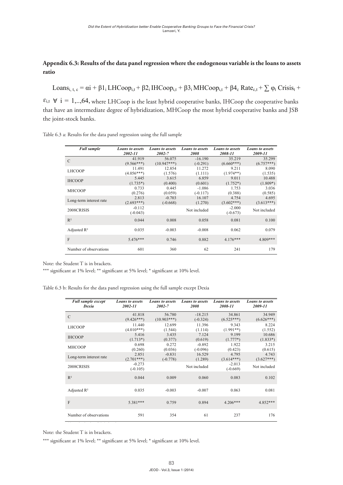#### **Appendix 6.3: Results of the data panel regression where the endogenous variable is the loans to assets ratio** endix 6.3: Results of the data panel regression where the endogenous variable is the loans to assets **Appendix 6.3: Results of the data panel regression where the endogenous variable is the Appendix 6.3: Results of the data panel regression where the endogenous variable is the**

Loans<sub>i, t, c</sub> =  $\alpha i$  +  $\beta 1$ <sub>i</sub> LHCoop<sub>i,t</sub> +  $\beta 2$ <sub>i</sub> IHCoop<sub>i,t</sub> +  $\beta 3$ <sub>i</sub> MHCoop<sub>i,t</sub> +  $\beta 4$ <sub>c</sub> Rate<sub>c,t</sub> +  $\sum \varphi_t$  Crisis<sub>t</sub> +  $\mathcal{L}_{\text{SUSL}}$  and  $\mathcal{L}_{\text{SUSL}}$  +  $\mathcal{L}_{\text{SUSL}}$  +  $\mathcal{L}_{\text{SUSL}}$  +  $\mathcal{L}_{\text{SUSL}}$  +  $\mathcal{L}_{\text{SUSL}}$  +  $\mathcal{L}_{\text{SUSL}}$  +  $\mathcal{L}_{\text{SUSL}}$  +  $\mathcal{L}_{\text{SUSL}}$  +  $\mathcal{L}_{\text{SUSL}}$ 

 $\forall$  i = 1,...64, where LHCoop is the least hybrid cooperative banks, IHCoop the cooperative banks  $\varepsilon_{i,t}$  $\tanh$  $\forall$  i = 1,..,64, where LHCoop is the least hybrid cooperative banks, IHCoop the cooperative banks that have an intermediate degree of hybridization, MHCoop the most hybrid cooperative banks and JSB the joint-stock banks.  $\mathbf{b}$  that have an intermediate degree of  $\mathbf{b}$ 

27 Table 6.3 a: Results for the data panel regression using the full sample **Table 6.3 a: Results for the data panel regression using the full sample** 

| <b>Full sample</b>      | <b>Loans to assets</b> | <b>Loans to assets</b> | <b>Loans to assets</b> | <b>Loans to assets</b> | <b>Loans to assets</b> |
|-------------------------|------------------------|------------------------|------------------------|------------------------|------------------------|
|                         | 2002-11                | 2002-7                 | 2008                   | 2008-11                | 2009-11                |
| $\mathcal{C}$           | 41.919                 | 56.075                 | $-16.190$              | 35.219                 | 35.299                 |
|                         | $(9.566***)$           | $(10.947***)$          | $(-0.291)$             | $(6.660***)$           | $(6.757***)$           |
| <b>LHCOOP</b>           | 11.491                 | 12.854                 | 11.272                 | 9.211                  | 8.090                  |
|                         | $(4.056***)$           | (1.576)                | (1.111)                | $(1.974**)$            | (1.535)                |
| <b>IHCOOP</b>           | 5.445                  | 3.615                  | 6.859                  | 9.011                  | 10.488                 |
|                         | $(1.735*)$             | (0.400)                | (0.601)                | $(1.752*)$             | $(1.809*)$             |
| <b>MHCOOP</b>           | 0.733                  | 0.445                  | $-1.086$               | 1.753                  | 3.036                  |
|                         | (0.276)                | (0.059)                | $(-0.117)$             | (0.388)                | (0.585)                |
| Long-term interest rate | 2.813                  | $-0.703$               | 16.107                 | 4.754                  | 4.695                  |
|                         | $(2.693***)$           | $(-0.668)$             | (1.270)                | $(3.602***)$           | $(3.613***)$           |
| 2008CRISIS              | $-0.112$<br>$(-0.043)$ |                        | Not included           | $-2.000$<br>$(-0.673)$ | Not included           |
| $R^2$                   | 0.044                  | 0.008                  | 0.058                  | 0.081                  | 0.100                  |
| Adjusted $\mathbb{R}^2$ | 0.035                  | $-0.003$               | $-0.008$               | 0.062                  | 0.079                  |
| F                       | $5.476***$             | 0.746                  | 0.882                  | $4.176***$             | 4.809***               |
| Number of observations  | 601                    | 360                    | 62                     | 241                    | 179                    |

Note: the Student T is in brackets.

\*\*\* significant at 1% level; \*\* significant at 5% level; \* significant at 10% level. nt at 1% level; \*\*\* significant at 5% level; \*\* significant at 10% level

Table 6.3 b: Results for the data panel regression using the full sample except Dexia

| <b>Full sample except</b> | <b>Loans to assets</b> | <b>Loans to assets</b> | <b>Loans</b> to assets | <b>Loans</b> to assets | <b>Loans</b> to assets |
|---------------------------|------------------------|------------------------|------------------------|------------------------|------------------------|
| Dexia                     | 2002-11                | $2002 - 7$             | 2008                   | 2008-11                | 2009-11                |
| $\mathcal{C}$             | 41.818                 | 56.780                 | $-18.215$              | 34.861                 | 34.949                 |
|                           | $(9.426***)$           | $(10.903***)$          | $(-0.324)$             | $(6.525***)$           | $(6.626***)$           |
| <b>LHCOOP</b>             | 11.440                 | 12.699                 | 11.396                 | 9.343                  | 8.224                  |
|                           | $(4.010***)$           | (1.544)                | (1.114)                | $(1.991**)$            | (1.552)                |
| <b>IHCOOP</b>             | 5.416                  | 3.435                  | 7.124                  | 9.199                  | 10.686                 |
|                           | $(1.713*)$             | (0.377)                | (0.619)                | $(1.777*)$             | $(1.833*)$             |
| <b>MHCOOP</b>             | 0.698                  | 0.272                  | $-0.892$               | 1.922                  | 3.215                  |
|                           | (0.260)                | (0.036)                | $(-0.096)$             | (0.423)                | (0.615)                |
| Long-term interest rate   | 2.851                  | $-0.831$               | 16.529                 | 4.795                  | 4.743                  |
|                           | $(2.701***)$           | $(-0.778)$             | (1.289)                | $(3.614***)$           | $(3.627***)$           |
| 2008CRISIS                | $-0.273$<br>$(-0.105)$ |                        | Not included           | $-2.013$<br>$(-0.669)$ | Not included           |
| $R^2$                     | 0.044                  | 0.009                  | 0.060                  | 0.083                  | 0.102                  |
| Adjusted $\mathbb{R}^2$   | 0.035                  | $-0.003$               | $-0.007$               | 0.063                  | 0.081                  |
| F                         | $5.381***$             | 0.759                  | 0.894                  | $4.206***$             | 4.852***               |
| Number of observations    | 591                    | 354                    | 61                     | 237                    | 176                    |

Note: the Student T is in brackets.

\*\*\* significant at 1% level; \*\* significant at 5% level; \* significant at 10% level.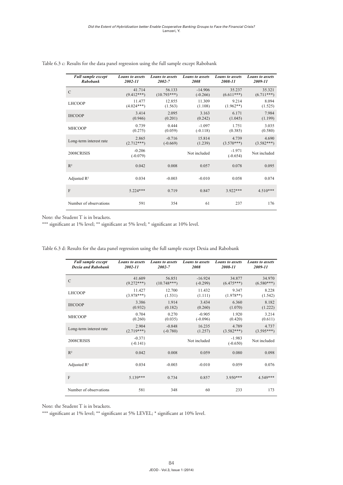| <b>Full sample except</b> | <b>Loans to assets</b> | <b>Loans</b> to assets | <b>Loans to assets</b> | <b>Loans to assets</b> | <b>Loans to assets</b> |
|---------------------------|------------------------|------------------------|------------------------|------------------------|------------------------|
| <b>Rabobank</b>           | 2002-11                | 2002-7                 | 2008                   | 2008-11                | 2009-11                |
| $\mathcal{C}$             | 41.714                 | 56.133                 | $-14.906$              | 35.237                 | 35.321                 |
|                           | $(9.412***)$           | $(10.793***)$          | $(-0.266)$             | $(6.611***)$           | $(6.711***)$           |
| <b>LHCOOP</b>             | 11.477                 | 12.855                 | 11.309                 | 9.214                  | 8.094                  |
|                           | $(4.024***)$           | (1.563)                | (1.108)                | $(1.962**)$            | (1.525)                |
| <b>IHCOOP</b>             | 3.414                  | 2.095                  | 3.163                  | 6.171                  | 7.984                  |
|                           | (0.946)                | (0.201)                | (0.242)                | (1.045)                | (1.199)                |
| <b>MHCOOP</b>             | 0.739                  | 0.444                  | $-1.097$               | 1.751                  | 3.035                  |
|                           | (0.275)                | (0.059)                | $(-0.118)$             | (0.385)                | (0.580)                |
| Long-term interest rate   | 2.865                  | $-0.716$               | 15.814                 | 4.739                  | 4.690                  |
|                           | $(2.712***)$           | $(-0.669)$             | (1.239)                | $(3.570***)$           | $(3.582***)$           |
| 2008CRISIS                | $-0.206$<br>$(-0.079)$ |                        | Not included           | $-1.971$<br>$(-0.654)$ | Not included           |
| $R^2$                     | 0.042                  | 0.008                  | 0.057                  | 0.078                  | 0.095                  |
| Adjusted $R^2$            | 0.034                  | $-0.003$               | $-0.010$               | 0.058                  | 0.074                  |
| F                         | $5.224***$             | 0.719                  | 0.847                  | 3.922***               | $4.510***$             |
| Number of observations    | 591                    | 354                    | 61                     | 237                    | 176                    |

Table 6.3 c: Results for the data panel regression using the full sample except Rabobank **Table 6.3 c: Results for the data panel regression using the full sample except Rabobank**

Note: the Student T is in brackets.

\*\*\* significant at 1% level; \*\* significant at 5% level; \* significant at 10% level.

| <b>Full sample except</b> | <b>Loans to assets</b> | <b>Loans to assets</b> | <b>Loans to assets</b> | <b>Loans to assets</b> | <b>Loans to assets</b> |
|---------------------------|------------------------|------------------------|------------------------|------------------------|------------------------|
| <b>Dexia and Rabobank</b> | 2002-11                | 2002-7                 | 2008                   | 2008-11                | 2009-11                |
| $\mathcal{C}$             | 41.609                 | 56.851                 | $-16.924$              | 34.877                 | 34.970                 |
|                           | $(9.272***)$           | $(10.748***)$          | $(-0.299)$             | $(6.475***)$           | $(6.580***)$           |
| <b>LHCOOP</b>             | 11.427                 | 12.700                 | 11.432                 | 9.347                  | 8.228                  |
|                           | $(3.978***)$           | (1.531)                | (1.111)                | $(1.978**)$            | (1.542)                |
| <b>IHCOOP</b>             | 3.386                  | 1.914                  | 3.434                  | 6.360                  | 8.182                  |
|                           | (0.932)                | (0.182)                | (0.260)                | (1.070)                | (1.222)                |
| <b>MHCOOP</b>             | 0.704                  | 0.270                  | $-0.905$               | 1.920                  | 3.214                  |
|                           | (0.260)                | (0.035)                | $(-0.096)$             | (0.420)                | (0.611)                |
| Long-term interest rate   | 2.904                  | $-0.848$               | 16.235                 | 4.789                  | 4.737                  |
|                           | $(2.719***)$           | $(-0.780)$             | (1.257)                | $(3.582***)$           | $(3.595***)$           |
| 2008CRISIS                | $-0.371$<br>$(-0.141)$ |                        | Not included           | $-1.983$<br>$(-0.650)$ | Not included           |
| $R^2$                     | 0.042                  | 0.008                  | 0.059                  | 0.080                  | 0.098                  |
| Adjusted $\mathbb{R}^2$   | 0.034                  | $-0.003$               | $-0.010$               | 0.059                  | 0.076                  |
| F                         | $5.139***$             | 0.734                  | 0.857                  | $3.950***$             | 4.549***               |
| Number of observations    | 581                    | 348                    | 60                     | 233                    | 173                    |

*Dexia and Rabobank 2002-11 2002-7 2008 2008-11* Table 6.3 d: Results for the data panel regression using the full sample except Dexia and Rabobank **Table 6.3 d: Results for the data panel regression using the full sample except Dexia and Rabobank**

Note: the Student T is in brackets.

\*\*\* significant at 1% level; \*\* significant at 5% LEVEL; \* significant at 10% level.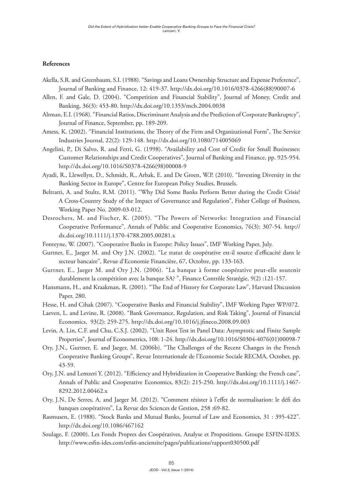## **References**

- Akella, S.R. and Greenbaum, S.I. (1988). "Savings and Loans Ownership Structure and Expense Preference", Journal of Banking and Finance, 12: 419-37. [http://dx.doi.org/10.1016/0378-4266\(88\)90007-6](http://dx.doi.org/10.1016/0378-4266(88)90007-6)
- Allen, F. and Gale, D. (2004). "Competition and Financial Stability", Journal of Money, Credit and Banking, 36(3): 453-80. <http://dx.doi.org/10.1353/mcb.2004.0038>
- Altman, E.I. (1968). "Financial Ratios, Discriminant Analysis and the Prediction of Corporate Bankruptcy", Journal of Finance, September, pp. 189-209.
- Amess, K. (2002). "Financial Institutions, the Theory of the Firm and Organizational Form", The Service Industries Journal, 22(2): 129-148.<http://dx.doi.org/10.1080/714005069>
- Angelini, P., Di Salvo, R. and Ferri, G. (1998). "Availability and Cost of Credit for Small Businesses: Customer Relationships and Credit Cooperatives", Journal of Banking and Finance, pp. 925-954. [http://dx.doi.org/10.1016/S0378-4266\(98\)00008-9](http://dx.doi.org/10.1016/S0378-4266(98)00008-9)
- Ayadi, R., Llewellyn, D., Schmidt, R., Arbak, E. and De Groen, W.P. (2010). "Investing Diversity in the Banking Sector in Europe", Centre for European Policy Studies, Brussels.
- Beltratti, A. and Stultz, R.M. (2011). "Why Did Some Banks Perform Better during the Credit Crisis? A Cross-Country Study of the Impact of Governance and Regulation", Fisher College of Business, Working Paper No. 2009-03-012.
- Desrochers, M. and Fischer, K. (2005). "The Powers of Networks: Integration and Financial Cooperative Performance", Annals of Public and Cooperative Economics, 76(3): 307-54. [http://](http://dx.doi.org/10.1111/j.1370-4788.2005.00281.x) [dx.doi.org/10.1111/j.1370-4788.2005.00281.x](http://dx.doi.org/10.1111/j.1370-4788.2005.00281.x)
- Fonteyne, W. (2007). "Cooperative Banks in Europe: Policy Issues", IMF Working Paper, July.
- Gurtner, E., Jaeger M. and Ory J.N. (2002). "Le statut de coopérative est-il source d'efficacité dans le secteur bancaire", Revue d'Economie Financière, 67, Octobre, pp. 133-163.
- Gurtner, E., Jaeger M. and Ory J.N. (2006). "La banque à forme coopérative peut-elle soutenir durablement la compétition avec la banque SA? ", Finance Contrôle Stratégie, 9(2) :121-157.
- Hansmann, H., and Kraakman, R. (2001). "The End of History for Corporate Law", Harvard Discussion Paper, 280.
- Hesse, H. and Cihak (2007). "Cooperative Banks and Financial Stability", IMF Working Paper WP/072.
- Laeven, L. and Levine, R. (2008). "Bank Governance, Regulation, and Risk Taking", Journal of Financial Economics, 93(2): 259-275.<http://dx.doi.org/10.1016/j.jfineco.2008.09.003>
- Levin, A. Lin, C.F. and Chu, C.S.J. (2002). "Unit Root Test in Panel Data: Asymptotic and Finite Sample Properties", Journal of Econometrics, 108: 1-24. [http://dx.doi.org/10.1016/S0304-4076\(01\)00098-7](http://dx.doi.org/10.1016/S0304-4076(01)00098-7)
- Ory, J.N., Gurtner, E. and Jaeger, M. (2006b). "The Challenges of the Recent Changes in the French Cooperative Banking Groups", Revue Internationale de l'Economie Sociale RECMA, October, pp. 43-59.
- Ory, J.N. and Lemzeri Y. (2012). "Efficiency and Hybridization in Cooperative Banking: the French case", Annals of Public and Cooperative Economics, 83(2): 215-250. [http://dx.doi.org/10.1111/j.1467-](http://dx.doi.org/10.1111/j.1467-8292.2012.00462.x) [8292.2012.00462.x](http://dx.doi.org/10.1111/j.1467-8292.2012.00462.x)
- Ory, J.N, De Serres, A. and Jaeger M. (2012). "Comment résister à l'effet de normalisation: le défi des banques coopératives", La Revue des Sciences de Gestion, 258 :69-82.
- Rasmusen, E. (1988). "Stock Banks and Mutual Banks, Journal of Law and Economics, 31 : 395-422". <http://dx.doi.org/10.1086/467162>
- Soulage, F. (2000). Les Fonds Propres des Coopératives, Analyse et Propositions. Groupe ESFIN-IDES. http://www.esfin-ides.com/esfin-anciensite/pages/publications/rapport030500.pdf